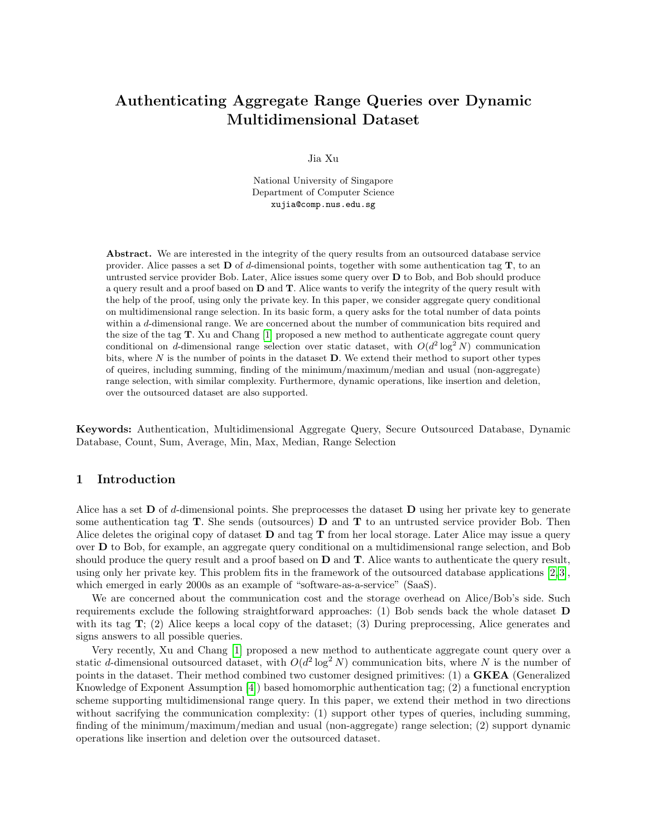# Authenticating Aggregate Range Queries over Dynamic Multidimensional Dataset

Jia Xu

National University of Singapore Department of Computer Science xujia@comp.nus.edu.sg

Abstract. We are interested in the integrity of the query results from an outsourced database service provider. Alice passes a set  $\bf{D}$  of d-dimensional points, together with some authentication tag  $\bf{T}$ , to an untrusted service provider Bob. Later, Alice issues some query over  $D$  to Bob, and Bob should produce a query result and a proof based on D and T. Alice wants to verify the integrity of the query result with the help of the proof, using only the private key. In this paper, we consider aggregate query conditional on multidimensional range selection. In its basic form, a query asks for the total number of data points within a d-dimensional range. We are concerned about the number of communication bits required and the size of the tag T. Xu and Chang [\[1\]](#page-16-0) proposed a new method to authenticate aggregate count query conditional on d-dimensional range selection over static dataset, with  $O(d^2 \log^2 N)$  communication bits, where  $N$  is the number of points in the dataset  $D$ . We extend their method to suport other types of queires, including summing, finding of the minimum/maximum/median and usual (non-aggregate) range selection, with similar complexity. Furthermore, dynamic operations, like insertion and deletion, over the outsourced dataset are also supported.

Keywords: Authentication, Multidimensional Aggregate Query, Secure Outsourced Database, Dynamic Database, Count, Sum, Average, Min, Max, Median, Range Selection

### 1 Introduction

Alice has a set  $\bf{D}$  of d-dimensional points. She preprocesses the dataset  $\bf{D}$  using her private key to generate some authentication tag  $T$ . She sends (outsources)  $D$  and  $T$  to an untrusted service provider Bob. Then Alice deletes the original copy of dataset  $D$  and tag  $T$  from her local storage. Later Alice may issue a query over D to Bob, for example, an aggregate query conditional on a multidimensional range selection, and Bob should produce the query result and a proof based on  $D$  and  $T$ . Alice wants to authenticate the query result, using only her private key. This problem fits in the framework of the outsourced database applications [\[2,](#page-16-1) [3\]](#page-16-2), which emerged in early 2000s as an example of "software-as-a-service" (SaaS).

We are concerned about the communication cost and the storage overhead on Alice/Bob's side. Such requirements exclude the following straightforward approaches: (1) Bob sends back the whole dataset D with its tag T; (2) Alice keeps a local copy of the dataset; (3) During preprocessing, Alice generates and signs answers to all possible queries.

Very recently, Xu and Chang [\[1\]](#page-16-0) proposed a new method to authenticate aggregate count query over a static d-dimensional outsourced dataset, with  $O(d^2 \log^2 N)$  communication bits, where N is the number of points in the dataset. Their method combined two customer designed primitives: (1) a GKEA (Generalized Knowledge of Exponent Assumption [\[4\]](#page-16-3)) based homomorphic authentication tag; (2) a functional encryption scheme supporting multidimensional range query. In this paper, we extend their method in two directions without sacrifying the communication complexity: (1) support other types of queries, including summing, finding of the minimum/maximum/median and usual (non-aggregate) range selection; (2) support dynamic operations like insertion and deletion over the outsourced dataset.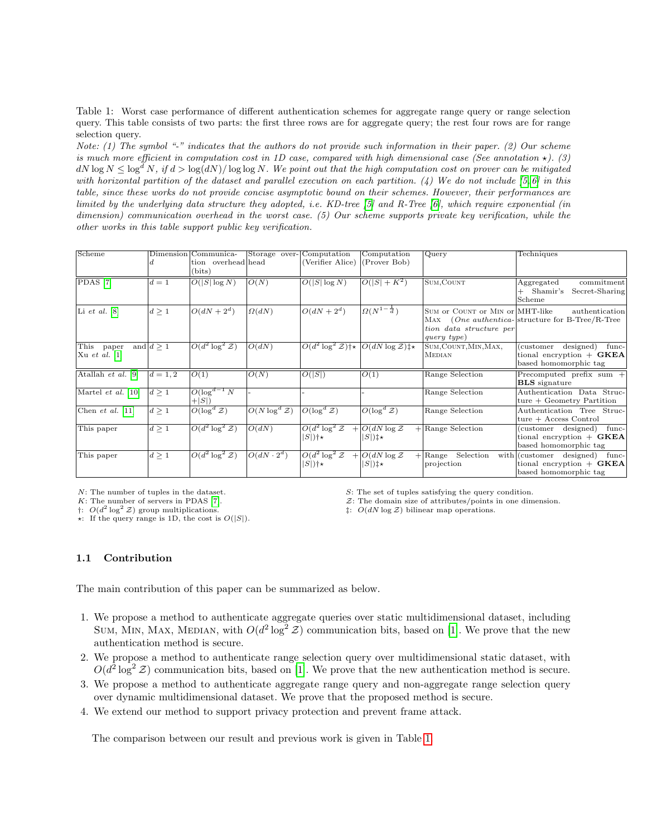<span id="page-1-0"></span>Table 1: Worst case performance of different authentication schemes for aggregate range query or range selection query. This table consists of two parts: the first three rows are for aggregate query; the rest four rows are for range selection query.

Note: (1) The symbol "-" indicates that the authors do not provide such information in their paper. (2) Our scheme is much more efficient in computation cost in 1D case, compared with high dimensional case (See annotation  $\star$ ). (3)  $dN \log N \leq \log^d N$ , if  $d > \log(dN)/\log \log N$ . We point out that the high computation cost on prover can be mitigated with horizontal partition of the dataset and parallel execution on each partition. (4) We do not include  $[5, 6]$  $[5, 6]$  in this table, since these works do not provide concise asymptotic bound on their schemes. However, their performances are limited by the underlying data structure they adopted, i.e. KD-tree [\[5\]](#page-16-4) and R-Tree [\[6\]](#page-16-5), which require exponential (in dimension) communication overhead in the worst case. (5) Our scheme supports private key verification, while the other works in this table support public key verification.

| Scheme                                     |                | Dimension Communica-<br>tion overhead head<br>(bits) | Storage over-             | Computation<br>(Verifier Alice)          | Computation<br>(Prover Bob)                                | Query                                                                     | Techniques                                                                                      |
|--------------------------------------------|----------------|------------------------------------------------------|---------------------------|------------------------------------------|------------------------------------------------------------|---------------------------------------------------------------------------|-------------------------------------------------------------------------------------------------|
| PDAS <sup>[7]</sup>                        | $d=1$          | $O( S \log N)$                                       | O(N)                      | $O( S \log N)$                           | $O( S  + K^2)$                                             | SUM, COUNT                                                                | commitment<br>Aggregated<br>Shamir's<br>Secret-Sharing<br>Scheme                                |
| Li et al. $[8]$                            | $d \geq 1$     | $O(dN+2^d)$                                          | $\Omega(dN)$              | $O(dN+2^d)$                              | $\Omega(N^{1-\frac{1}{d}})$                                | SUM or COUNT or MIN or MHT-like<br>tion data structure per<br>query type) | authentication<br>MAX (One authentica-structure for B-Tree/R-Tree                               |
| This<br>paper<br>$ Xu \text{ et al. } [1]$ | and $d \geq 1$ | $\overline{O(d^2 \log^2 \mathcal{Z})}$               | O(dN)                     |                                          | $O(d^2 \log^2 \mathcal{Z})$ †* $O(dN \log \mathcal{Z})$ ‡* | SUM, COUNT, MIN, MAX,<br><b>MEDIAN</b>                                    | designed)<br>(customer<br>func-<br>tional encryption $+$ <b>GKEA</b><br>based homomorphic tag   |
| Atallah $et$ al. [9]                       | $d = 1, 2$     | O(1)                                                 | O(N)                      | O( S )                                   | O(1)                                                       | Range Selection                                                           | Precomputed prefix sum $+$<br><b>BLS</b> signature                                              |
| Martel et al. [10]                         | $d \geq 1$     | $O(\log^{d-1} N)$<br>$+ S $                          |                           |                                          |                                                            | Range Selection                                                           | Authentication Data Struc-<br>$ture + Geometry Partition$                                       |
| Chen et al. $[11]$                         | d>1            | $O(\log^d Z)$                                        | $O(N \log^d \mathcal{Z})$ | $O(\log^d Z)$                            | $O(\log^d Z)$                                              | Range Selection                                                           | Authentication Tree Struc-<br>$ture + Access Control$                                           |
| This paper                                 | $d \geq 1$     | $O(d^2 \log^2 \mathcal{Z})$                          | O(dN)                     | $O(d^2 \log^2 \mathcal{Z})$<br>$ S $ )†* | $+$ O(dN log Z)<br>$ S $ ) $\ddagger\star$                 | $+$ Range Selection                                                       | func-<br>(customer designed)<br>tional encryption $+$ <b>GKEA</b><br>based homomorphic tag      |
| This paper                                 | $d \geq 1$     | $O(d^2 \log^2 \mathcal{Z})$                          | $O(dN\cdot 2^d)$          | $O(d^2 \log^2 \mathcal{Z})$<br>$ S $ )†* | $+$ O(dN log Z)<br>$ S $ ) $\ddagger\star$                 | $+$ Range<br>Selection<br>projection                                      | with (customer designed)<br>func-<br>tional encryption $+$ <b>GKEA</b><br>based homomorphic tag |

 $\dagger$ :  $O(d^2)$ 

 $\star$ : If the query range is 1D, the cost is  $O(|S|)$ .

N: The number of tuples in the dataset. S: The set of tuples satisfying the query condition.

K: The number of servers in PDAS [\[7\]](#page-16-6).  $\mathcal{Z}$ : The domain size of attributes/points in one dimension.

 $\ddagger$ :  $O(dN \log \mathcal{Z})$  bilinear map operations.

### 1.1 Contribution

The main contribution of this paper can be summarized as below.

- 1. We propose a method to authenticate aggregate queries over static multidimensional dataset, including SUM, MIN, MAX, MEDIAN, with  $O(d^2 \log^2 \mathcal{Z})$  communication bits, based on [\[1\]](#page-16-0). We prove that the new authentication method is secure.
- 2. We propose a method to authenticate range selection query over multidimensional static dataset, with  $O(d^2 \log^2 \mathcal{Z})$  communication bits, based on [\[1\]](#page-16-0). We prove that the new authentication method is secure.
- 3. We propose a method to authenticate aggregate range query and non-aggregate range selection query over dynamic multidimensional dataset. We prove that the proposed method is secure.
- 4. We extend our method to support privacy protection and prevent frame attack.

The comparison between our result and previous work is given in Table [1.](#page-1-0)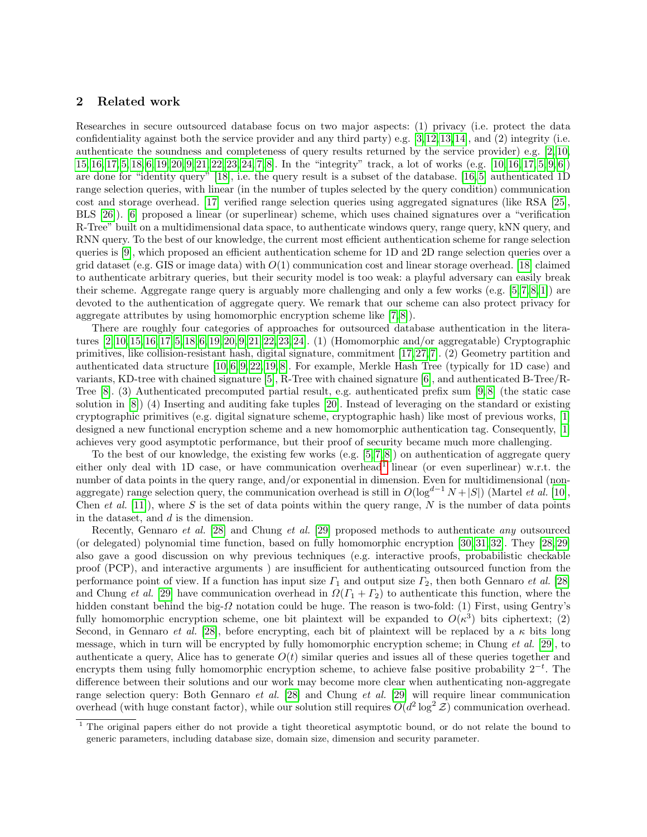# 2 Related work

Researches in secure outsourced database focus on two major aspects: (1) privacy (i.e. protect the data confidentiality against both the service provider and any third party) e.g.  $[3,12,13,14]$  $[3,12,13,14]$  $[3,12,13,14]$  $[3,12,13,14]$ , and  $(2)$  integrity (i.e. authenticate the soundness and completeness of query results returned by the service provider) e.g. [\[2,](#page-16-1) [10,](#page-17-1) [15,](#page-17-6) [16,](#page-17-7) [17,](#page-17-8) [5,](#page-16-4) [18,](#page-17-9) [6,](#page-16-5) [19,](#page-17-10) [20,](#page-17-11) [9,](#page-17-0) [21,](#page-17-12) [22,](#page-17-13) [23,](#page-17-14) [24,](#page-17-15) [7,](#page-16-6) [8\]](#page-16-7). In the "integrity" track, a lot of works (e.g. [\[10,](#page-17-1) [16,](#page-17-7) [17,](#page-17-8) [5,](#page-16-4) [9,](#page-17-0) [6\]](#page-16-5)) are done for "identity query" [\[18\]](#page-17-9), i.e. the query result is a subset of the database. [\[16,](#page-17-7) [5\]](#page-16-4) authenticated 1D range selection queries, with linear (in the number of tuples selected by the query condition) communication cost and storage overhead. [\[17\]](#page-17-8) verified range selection queries using aggregated signatures (like RSA [\[25\]](#page-17-16), BLS [\[26\]](#page-17-17)). [\[6\]](#page-16-5) proposed a linear (or superlinear) scheme, which uses chained signatures over a "verification R-Tree" built on a multidimensional data space, to authenticate windows query, range query, kNN query, and RNN query. To the best of our knowledge, the current most efficient authentication scheme for range selection queries is [\[9\]](#page-17-0), which proposed an efficient authentication scheme for 1D and 2D range selection queries over a grid dataset (e.g. GIS or image data) with  $O(1)$  communication cost and linear storage overhead. [\[18\]](#page-17-9) claimed to authenticate arbitrary queries, but their security model is too weak: a playful adversary can easily break their scheme. Aggregate range query is arguably more challenging and only a few works (e.g. [\[5,](#page-16-4) [7,](#page-16-6) [8,](#page-16-7) [1\]](#page-16-0)) are devoted to the authentication of aggregate query. We remark that our scheme can also protect privacy for aggregate attributes by using homomorphic encryption scheme like [\[7,](#page-16-6) [8\]](#page-16-7)).

There are roughly four categories of approaches for outsourced database authentication in the literatures [\[2,](#page-16-1) [10,](#page-17-1) [15,](#page-17-6) [16,](#page-17-7) [17,](#page-17-8) [5,](#page-16-4) [18,](#page-17-9) [6,](#page-16-5) [19,](#page-17-10) [20,](#page-17-11) [9,](#page-17-0) [21,](#page-17-12) [22,](#page-17-13) [23,](#page-17-14) [24\]](#page-17-15). (1) (Homomorphic and/or aggregatable) Cryptographic primitives, like collision-resistant hash, digital signature, commitment [\[17,](#page-17-8) [27,](#page-17-18) [7\]](#page-16-6). (2) Geometry partition and authenticated data structure [\[10,](#page-17-1) [6,](#page-16-5) [9,](#page-17-0) [22,](#page-17-13) [19,](#page-17-10) [8\]](#page-16-7). For example, Merkle Hash Tree (typically for 1D case) and variants, KD-tree with chained signature [\[5\]](#page-16-4), R-Tree with chained signature [\[6\]](#page-16-5), and authenticated B-Tree/R-Tree [\[8\]](#page-16-7). (3) Authenticated precomputed partial result, e.g. authenticated prefix sum [\[9,](#page-17-0) [8\]](#page-16-7) (the static case solution in [\[8\]](#page-16-7)) (4) Inserting and auditing fake tuples [\[20\]](#page-17-11). Instead of leveraging on the standard or existing cryptographic primitives (e.g. digital signature scheme, cryptographic hash) like most of previous works, [\[1\]](#page-16-0) designed a new functional encryption scheme and a new homomorphic authentication tag. Consequently, [\[1\]](#page-16-0) achieves very good asymptotic performance, but their proof of security became much more challenging.

To the best of our knowledge, the existing few works  $(e.g. [5, 7, 8])$  $(e.g. [5, 7, 8])$  $(e.g. [5, 7, 8])$  $(e.g. [5, 7, 8])$  $(e.g. [5, 7, 8])$  on authentication of aggregate query either only deal with [1](#page-2-0)D case, or have communication overhead<sup>1</sup> linear (or even superlinear) w.r.t. the number of data points in the query range, and/or exponential in dimension. Even for multidimensional (nonaggregate) range selection query, the communication overhead is still in  $O(\log^{d-1} N + |S|)$  (Martel *et al.* [\[10\]](#page-17-1), Chen et al. [\[11\]](#page-17-2)), where S is the set of data points within the query range, N is the number of data points in the dataset, and d is the dimension.

Recently, Gennaro et al. [\[28\]](#page-17-19) and Chung et al. [\[29\]](#page-17-20) proposed methods to authenticate any outsourced (or delegated) polynomial time function, based on fully homomorphic encryption [\[30,](#page-17-21) [31,](#page-17-22) [32\]](#page-17-23). They [\[28,](#page-17-19) [29\]](#page-17-20) also gave a good discussion on why previous techniques (e.g. interactive proofs, probabilistic checkable proof (PCP), and interactive arguments ) are insufficient for authenticating outsourced function from the performance point of view. If a function has input size  $\Gamma_1$  and output size  $\Gamma_2$ , then both Gennaro *et al.* [\[28\]](#page-17-19) and Chung et al. [\[29\]](#page-17-20) have communication overhead in  $\Omega(\Gamma_1 + \Gamma_2)$  to authenticate this function, where the hidden constant behind the big- $\Omega$  notation could be huge. The reason is two-fold: (1) First, using Gentry's fully homomorphic encryption scheme, one bit plaintext will be expanded to  $O(\kappa^3)$  bits ciphertext; (2) Second, in Gennaro et al. [\[28\]](#page-17-19), before encrypting, each bit of plaintext will be replaced by a  $\kappa$  bits long message, which in turn will be encrypted by fully homomorphic encryption scheme; in Chung et al. [\[29\]](#page-17-20), to authenticate a query, Alice has to generate  $O(t)$  similar queries and issues all of these queries together and encrypts them using fully homomorphic encryption scheme, to achieve false positive probability  $2^{-t}$ . The difference between their solutions and our work may become more clear when authenticating non-aggregate range selection query: Both Gennaro et al. [\[28\]](#page-17-19) and Chung et al. [\[29\]](#page-17-20) will require linear communication overhead (with huge constant factor), while our solution still requires  $O(d^2 \log^2 \mathcal{Z})$  communication overhead.

<span id="page-2-0"></span><sup>&</sup>lt;sup>1</sup> The original papers either do not provide a tight theoretical asymptotic bound, or do not relate the bound to generic parameters, including database size, domain size, dimension and security parameter.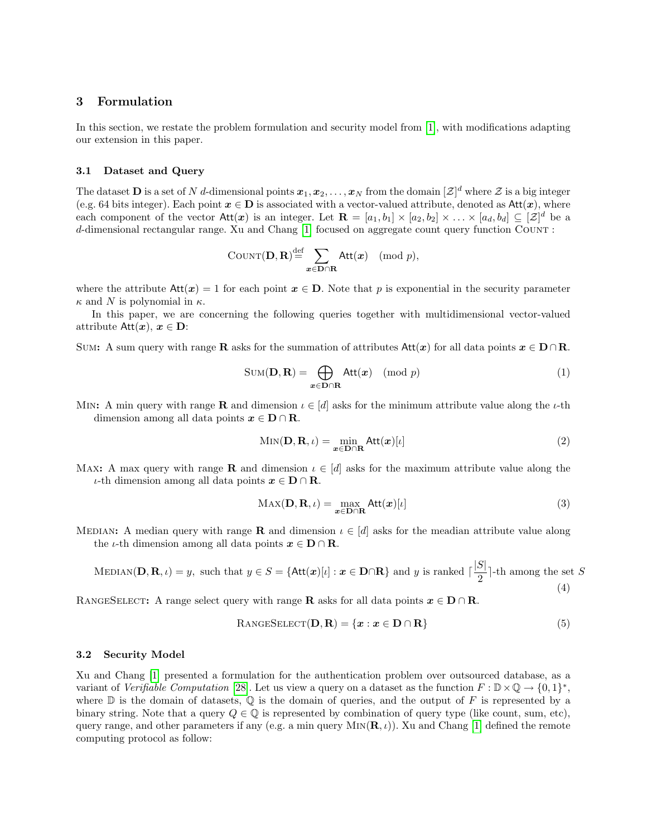# 3 Formulation

In this section, we restate the problem formulation and security model from [\[1\]](#page-16-0), with modifications adapting our extension in this paper.

### 3.1 Dataset and Query

The dataset  $\bf{D}$  is a set of N d-dimensional points  $\bm{x}_1, \bm{x}_2, \ldots, \bm{x}_N$  from the domain  $[\mathcal{Z}]^d$  where  $\mathcal Z$  is a big integer (e.g. 64 bits integer). Each point  $x \in D$  is associated with a vector-valued attribute, denoted as  $Att(x)$ , where each component of the vector  $\text{Att}(x)$  is an integer. Let  $\mathbf{R} = [a_1, b_1] \times [a_2, b_2] \times \ldots \times [a_d, b_d] \subseteq [\mathcal{Z}]^d$  be a d-dimensional rectangular range. Xu and Chang [\[1\]](#page-16-0) focused on aggregate count query function Count :

$$
COUNT(D, R) \stackrel{\text{def}}{=} \sum_{\boldsymbol{x} \in \mathbf{D} \cap \mathbf{R}} Att(\boldsymbol{x}) \pmod{p},
$$

where the attribute  $Att(x) = 1$  for each point  $x \in D$ . Note that p is exponential in the security parameter  $\kappa$  and N is polynomial in  $\kappa$ .

In this paper, we are concerning the following queries together with multidimensional vector-valued attribute  $Att(x), x \in D$ :

SUM: A sum query with range R asks for the summation of attributes  $Att(x)$  for all data points  $x \in D \cap R$ .

$$
SUM(D, R) = \bigoplus_{x \in D \cap R} Att(x) \pmod{p}
$$
 (1)

MIN: A min query with range **R** and dimension  $\iota \in [d]$  asks for the minimum attribute value along the  $\iota$ -th dimension among all data points  $x \in D \cap R$ .

$$
Min(\mathbf{D}, \mathbf{R}, \iota) = \min_{\mathbf{x} \in \mathbf{D} \cap \mathbf{R}} Att(\mathbf{x})[\iota]
$$
 (2)

Max: A max query with range **R** and dimension  $\iota \in [d]$  asks for the maximum attribute value along the *ι*-th dimension among all data points  $x ∈ D ∩ R$ .

$$
MAX(D, R, \iota) = \max_{x \in D \cap R} Att(x)[\iota]
$$
\n(3)

MEDIAN: A median query with range R and dimension  $\iota \in [d]$  asks for the meadian attribute value along the *ι*-th dimension among all data points  $x \in D \cap R$ .

$$
\text{MEDIAN}(\mathbf{D}, \mathbf{R}, \iota) = y, \text{ such that } y \in S = \{ \text{Att}(\boldsymbol{x})[\iota] : \boldsymbol{x} \in \mathbf{D} \cap \mathbf{R} \} \text{ and } y \text{ is ranked } \lceil \frac{|S|}{2} \rceil \text{-th among the set } S \tag{4}
$$

RANGESELECT: A range select query with range **R** asks for all data points  $x \in D \cap R$ .

$$
RangeSELECT(D, R) = \{x : x \in D \cap R\}
$$
\n(5)

#### 3.2 Security Model

Xu and Chang [\[1\]](#page-16-0) presented a formulation for the authentication problem over outsourced database, as a variant of Verifiable Computation [\[28\]](#page-17-19). Let us view a query on a dataset as the function  $F: \mathbb{D} \times \mathbb{Q} \to \{0,1\}^*$ , where  $\mathbb D$  is the domain of datasets,  $\mathbb Q$  is the domain of queries, and the output of F is represented by a binary string. Note that a query  $Q \in \mathbb{Q}$  is represented by combination of query type (like count, sum, etc), query range, and other parameters if any (e.g. a min query MIN( $(\mathbf{R}, \iota)$ ). Xu and Chang [\[1\]](#page-16-0) defined the remote computing protocol as follow: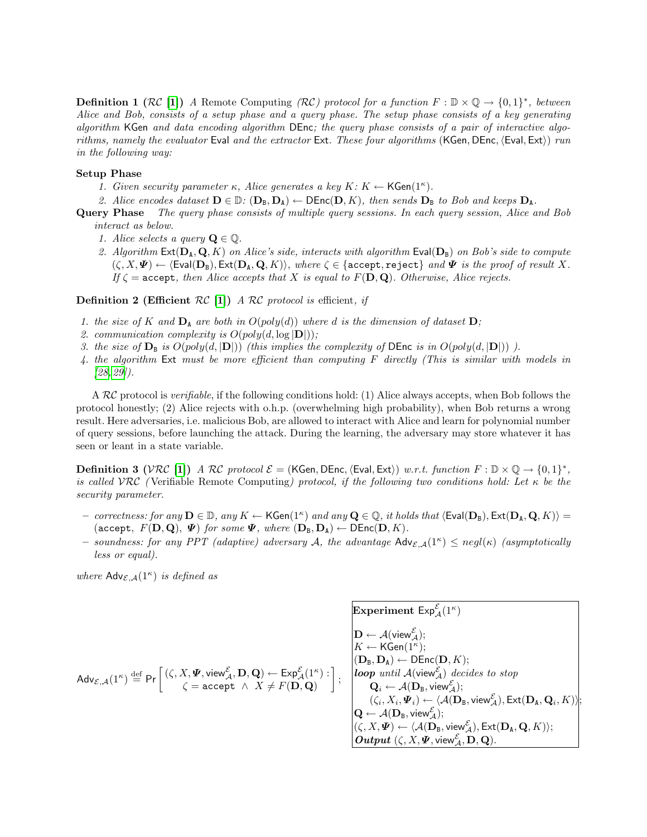**Definition 1 (RC [\[1\]](#page-16-0))** A Remote Computing (RC) protocol for a function  $F : \mathbb{D} \times \mathbb{Q} \to \{0,1\}^*$ , between Alice and Bob, consists of a setup phase and a query phase. The setup phase consists of a key generating algorithm KGen and data encoding algorithm DEnc; the query phase consists of a pair of interactive algorithms, namely the evaluator Eval and the extractor Ext. These four algorithms (KGen, DEnc,  $\langle$ Eval, Ext $\rangle$ ) run in the following way:

### Setup Phase

- 1. Given security parameter  $\kappa$ , Alice generates a key  $K: K \leftarrow \mathsf{KGen}(1^{\kappa})$ .
- 2. Alice encodes dataset  $\mathbf{D} \in \mathbb{D}$ :  $(\mathbf{D}_B, \mathbf{D}_A) \leftarrow \mathsf{DEnc}(\mathbf{D}, K)$ , then sends  $\mathbf{D}_B$  to Bob and keeps  $\mathbf{D}_A$ .
- Query Phase The query phase consists of multiple query sessions. In each query session, Alice and Bob interact as below.
	- 1. Alice selects a query  $\mathbf{Q} \in \mathbb{Q}$ .
	- 2. Algorithm  $Ext(D_A, Q, K)$  on Alice's side, interacts with algorithm  $Eval(D_B)$  on Bob's side to compute  $(\zeta, X, \Psi) \leftarrow \langle \text{Eval}(\mathbf{D}_B), \text{Ext}(\mathbf{D}_A, \mathbf{Q}, K) \rangle$ , where  $\zeta \in \{\text{accept}, \text{reject}\}\$  and  $\Psi$  is the proof of result X. If  $\zeta$  = accept, then Alice accepts that X is equal to  $F(D, Q)$ . Otherwise, Alice rejects.

<span id="page-4-0"></span>**Definition 2 (Efficient RC** [\[1\]](#page-16-0)) A RC protocol is efficient, if

- 1. the size of K and  $D_A$  are both in  $O(poly(d))$  where d is the dimension of dataset  $D$ ;
- 2. communication complexity is  $O(poly(d, \log |D|));$
- 3. the size of  $\mathbf{D}_\mathbf{B}$  is  $O(poly(d, |\mathbf{D}|))$  (this implies the complexity of DEnc is in  $O(poly(d, |\mathbf{D}|))$ ).
- 4. the algorithm Ext must be more efficient than computing F directly (This is similar with models in [\[28,](#page-17-19) [29\]](#page-17-20)).

A  $RC$  protocol is verifiable, if the following conditions hold: (1) Alice always accepts, when Bob follows the protocol honestly; (2) Alice rejects with o.h.p. (overwhelming high probability), when Bob returns a wrong result. Here adversaries, i.e. malicious Bob, are allowed to interact with Alice and learn for polynomial number of query sessions, before launching the attack. During the learning, the adversary may store whatever it has seen or leant in a state variable.

**Definition 3** (VRC [\[1\]](#page-16-0)) A RC protocol  $\mathcal{E} =$  (KGen, DEnc,  $\langle$  Eval, Ext $\rangle$ ) w.r.t. function  $F : \mathbb{D} \times \mathbb{Q} \rightarrow \{0, 1\}^*$ , is called VRC (Verifiable Remote Computing) protocol, if the following two conditions hold: Let  $\kappa$  be the security parameter.

- $-$  correctness: for any  $\mathbf{D} \in \mathbb{D}$ , any  $K \leftarrow \mathsf{KGen}(1^\kappa)$  and any  $\mathbf{Q} \in \mathbb{Q}$ , it holds that  $\langle \mathsf{Eval}(\mathbf{D}_\mathtt{B}), \mathsf{Ext}(\mathbf{D}_\mathtt{A}, \mathbf{Q}, K) \rangle =$ (accept,  $F(\mathbf{D}, \mathbf{Q}), \Psi$ ) for some  $\Psi$ , where  $(\mathbf{D}_B, \mathbf{D}_A) \leftarrow \text{DEnc}(\mathbf{D}, K)$ .
- soundness: for any PPT (adaptive) adversary A, the advantage  $\mathsf{Adv}_{\mathcal{E},\mathcal{A}}(1^{\kappa}) \leq negl(\kappa)$  (asymptotically less or equal).

Experiment  $\mathsf{Exp}^{\mathcal{E}}_{\mathcal{A}}(1^\kappa)$ 

where  $\mathsf{Adv}_{\mathcal{E},\mathcal{A}}(1^{\kappa})$  is defined as

$$
\mathsf{Adv}_{\mathcal{E},\mathcal{A}}(1^{\kappa}) \stackrel{\mathrm{def}}{=} \Pr\left[(\zeta, X, \Psi, \text{view}_{\mathcal{A}}^{\mathcal{E}}, \mathbf{D}, \mathbf{Q}) \leftarrow \mathsf{Exp}^{\mathcal{E}}_{\mathcal{A}}(1^{\kappa}) : \begin{matrix} \mathbf{D} \leftarrow \mathcal{A}(\text{view}_{\mathcal{A}}^{\mathcal{E}}); \\ K \leftarrow \mathsf{KGen}(1^{\kappa}); \\ (\mathbf{D}_B, \mathbf{D}_A) \leftarrow \mathsf{DEnc}(\mathbf{D}, K); \\ \mathbf{loop} \text{ until } \mathcal{A}(\text{view}_{\mathcal{A}}^{\mathcal{E}}) \text{ decides to stop} \\ \mathbf{Q}_i \leftarrow \mathcal{A}(\mathbf{D}_B, \text{view}_{\mathcal{A}}^{\mathcal{E}}); \\ (\zeta_i, X_i, \Psi_i) \leftarrow \langle \mathcal{A}(\mathbf{D}_B, \text{view}_{\mathcal{A}}^{\mathcal{E}}), \mathsf{Ext}(\mathbf{D}_A, \mathbf{Q}_i, K) \rangle; \\ (\zeta, X, \Psi) \leftarrow \langle \mathcal{A}(\mathbf{D}_B, \text{view}_{\mathcal{A}}^{\mathcal{E}}), \mathsf{Ext}(\mathbf{D}_A, \mathbf{Q}, K) \rangle; \\ (\zeta, X, \Psi) \leftarrow \langle \mathcal{A}(\mathbf{D}_B, \text{view}_{\mathcal{A}}^{\mathcal{E}}), \mathsf{Ext}(\mathbf{D}_A, \mathbf{Q}, K) \rangle; \\ \mathbf{Output}(\zeta, X, \Psi, \text{view}_{\mathcal{A}}^{\mathcal{E}}, \mathbf{D}, \mathbf{Q}).\end{matrix}\right)
$$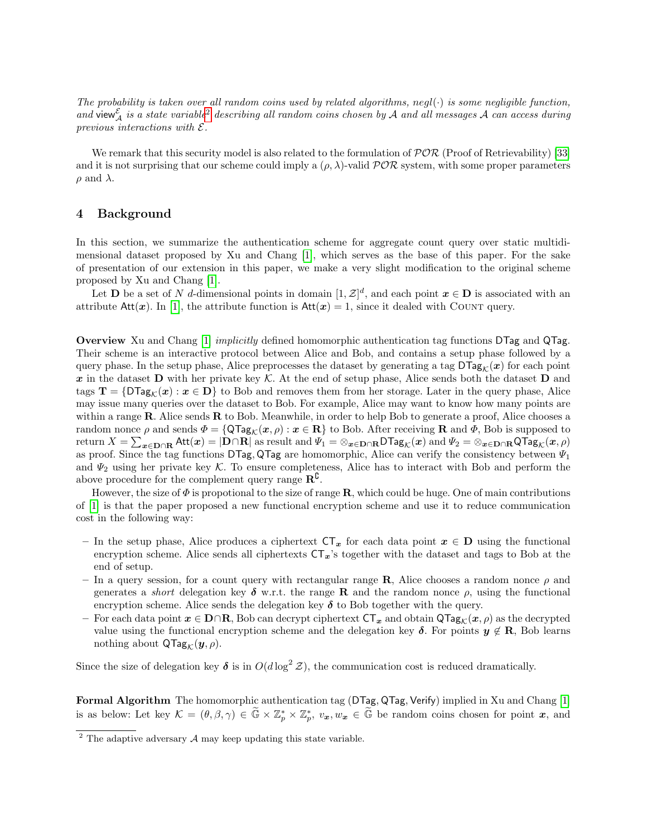The probability is taken over all random coins used by related algorithms, negl( $\cdot$ ) is some negligible function, and view  $\mathcal{L}_\mathcal{A}$  is a state variable<sup>[2](#page-5-0)</sup> describing all random coins chosen by A and all messages A can access during previous interactions with  $\mathcal{E}.$ 

We remark that this security model is also related to the formulation of  $\mathcal{P}OR$  (Proof of Retrievability) [\[33\]](#page-17-24) and it is not surprising that our scheme could imply a  $(\rho, \lambda)$ -valid  $\mathcal{POR}$  system, with some proper parameters  $\rho$  and  $\lambda$ .

# 4 Background

In this section, we summarize the authentication scheme for aggregate count query over static multidimensional dataset proposed by Xu and Chang [\[1\]](#page-16-0), which serves as the base of this paper. For the sake of presentation of our extension in this paper, we make a very slight modification to the original scheme proposed by Xu and Chang [\[1\]](#page-16-0).

Let **D** be a set of N d-dimensional points in domain  $[1, \mathcal{Z}]^d$ , and each point  $x \in D$  is associated with an attribute  $Att(x)$ . In [\[1\]](#page-16-0), the attribute function is  $Att(x) = 1$ , since it dealed with COUNT query.

Overview Xu and Chang [\[1\]](#page-16-0) implicitly defined homomorphic authentication tag functions DTag and QTag. Their scheme is an interactive protocol between Alice and Bob, and contains a setup phase followed by a query phase. In the setup phase, Alice preprocesses the dataset by generating a tag  $\text{DTag}_{\mathcal{K}}(x)$  for each point x in the dataset D with her private key K. At the end of setup phase, Alice sends both the dataset D and tags  $\mathbf{T} = {\mathcal{D} \text{Tag}_K(\boldsymbol{x}) : \boldsymbol{x} \in \mathbf{D}}$  to Bob and removes them from her storage. Later in the query phase, Alice may issue many queries over the dataset to Bob. For example, Alice may want to know how many points are within a range R. Alice sends R to Bob. Meanwhile, in order to help Bob to generate a proof, Alice chooses a random nonce  $\rho$  and sends  $\Phi = {\mathsf{QTag}}_{\mathcal{K}}(\mathbf{x}, \rho) : \mathbf{x} \in \mathbf{R}$  to Bob. After receiving **R** and  $\Phi$ , Bob is supposed to return  $X=\sum_{\bm x\in {\bf D}\cap {\bf R}}{\sf Att}(\bm x)=|{\bf D}\cap {\bf R}|$  as result and  $\Psi_1=\otimes_{\bm x\in {\bf D}\cap {\bf R}}{\sf D}$ Tag $_{{\cal K}}(\bm x)$  and  $\Psi_2=\otimes_{\bm x\in {\bf D}\cap {\bf R}}{\sf Q}$ Tag $_{{\cal K}}(\bm x,\rho)$ as proof. Since the tag functions DTag, QTag are homomorphic, Alice can verify the consistency between  $\Psi_1$ and  $\Psi_2$  using her private key K. To ensure completeness, Alice has to interact with Bob and perform the above procedure for the complement query range  $\mathbb{R}^{\mathbb{C}}$ .

However, the size of  $\Phi$  is propotional to the size of range R, which could be huge. One of main contributions of [\[1\]](#page-16-0) is that the paper proposed a new functional encryption scheme and use it to reduce communication cost in the following way:

- In the setup phase, Alice produces a ciphertext  $CT_x$  for each data point  $x \in D$  using the functional encryption scheme. Alice sends all ciphertexts  $CT_x$ 's together with the dataset and tags to Bob at the end of setup.
- In a query session, for a count query with rectangular range **R**, Alice chooses a random nonce  $\rho$  and generates a *short* delegation key  $\delta$  w.r.t. the range **R** and the random nonce  $\rho$ , using the functional encryption scheme. Alice sends the delegation key  $\delta$  to Bob together with the query.
- For each data point  $x \in D \cap R$ , Bob can decrypt ciphertext  $CT_x$  and obtain  $QTag_k(x, \rho)$  as the decrypted value using the functional encryption scheme and the delegation key  $\delta$ . For points  $y \notin \mathbf{R}$ , Bob learns nothing about  $\mathsf{QTag}_\mathcal{K}(\boldsymbol{y}, \rho)$ .

Since the size of delegation key  $\delta$  is in  $O(d \log^2 \mathcal{Z})$ , the communication cost is reduced dramatically.

Formal Algorithm The homomorphic authentication tag (DTag, QTag, Verify) implied in Xu and Chang [\[1\]](#page-16-0) is as below: Let key  $\mathcal{K} = (\theta, \beta, \gamma) \in \widetilde{\mathbb{G}} \times \mathbb{Z}_p^* \times \mathbb{Z}_p^*, v_x, w_x \in \widetilde{\mathbb{G}}$  be random coins chosen for point  $x$ , and

<span id="page-5-0"></span> $2$  The adaptive adversary  $A$  may keep updating this state variable.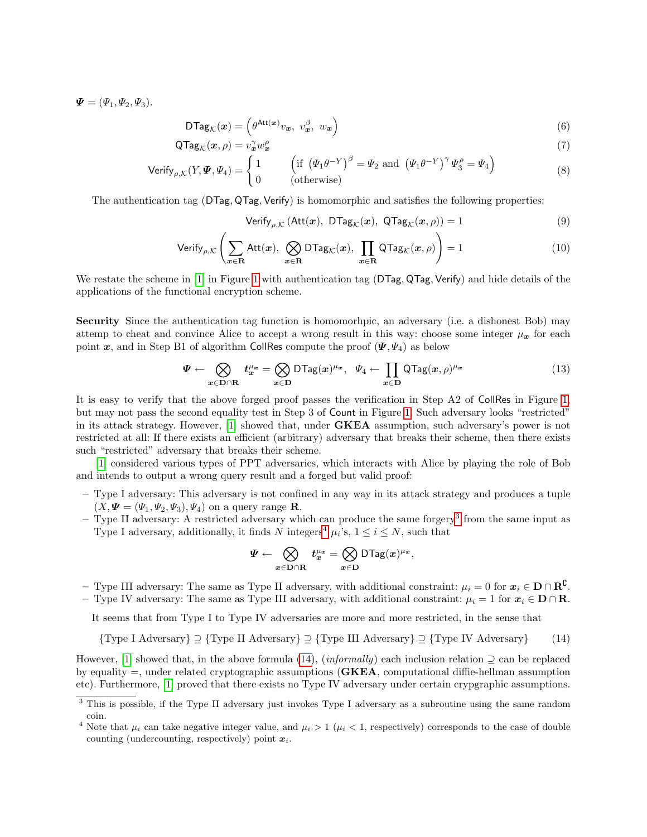$\mathbf{\Psi} = (\Psi_1, \Psi_2, \Psi_3).$ 

$$
\mathsf{DTag}_{\mathcal{K}}(\boldsymbol{x}) = \left(\theta^{\mathsf{Att}(\boldsymbol{x})}v_{\boldsymbol{x}},\ v_{\boldsymbol{x}}^{\beta},\ w_{\boldsymbol{x}}\right) \tag{6}
$$

$$
\mathsf{QTag}_{\mathcal{K}}(\boldsymbol{x}, \rho) = v_{\boldsymbol{x}}^{\gamma} w_{\boldsymbol{x}}^{\rho} \tag{7}
$$

$$
\text{Verify}_{\rho,\mathcal{K}}(Y,\Psi,\Psi_4) = \begin{cases} 1 & \text{if } (\Psi_1\theta^{-Y})^{\beta} = \Psi_2 \text{ and } (\Psi_1\theta^{-Y})^{\gamma} \Psi_3^{\rho} = \Psi_4 \\ 0 & \text{(otherwise)} \end{cases}
$$
(8)

The authentication tag (DTag, QTag, Verify) is homomorphic and satisfies the following properties:

<span id="page-6-3"></span>
$$
Verify_{\rho,\mathcal{K}}\left(\mathrm{Att}(\boldsymbol{x}),\ \mathrm{DTag}_{\mathcal{K}}(\boldsymbol{x}),\ \mathrm{QTag}_{\mathcal{K}}(\boldsymbol{x},\rho)\right)=1\tag{9}
$$

Verify<sub>$$
\rho
$$
, $\mathcal{K}$</sub>   $\left( \sum_{x \in \mathbf{R}} Att(x), \bigotimes_{x \in \mathbf{R}} DTag_{\mathcal{K}}(x), \prod_{x \in \mathbf{R}} QTag_{\mathcal{K}}(x, \rho) \right) = 1$  (10)

We restate the scheme in [\[1\]](#page-16-0) in Figure [1](#page-7-0) with authentication tag (DTag, QTag, Verify) and hide details of the applications of the functional encryption scheme.

Security Since the authentication tag function is homomorhpic, an adversary (i.e. a dishonest Bob) may attemp to cheat and convince Alice to accept a wrong result in this way: choose some integer  $\mu_x$  for each point x, and in Step B1 of algorithm CollRes compute the proof  $(\Psi, \Psi_4)$  as below

$$
\Psi \leftarrow \bigotimes_{x \in \mathcal{D} \cap \mathcal{R}} t_x^{\mu_x} = \bigotimes_{x \in \mathcal{D}} \mathsf{DTag}(x)^{\mu_x}, \quad \Psi_4 \leftarrow \prod_{x \in \mathcal{D}} \mathsf{QTag}(x, \rho)^{\mu_x} \tag{13}
$$

It is easy to verify that the above forged proof passes the verification in Step A2 of CollRes in Figure [1,](#page-7-0) but may not pass the second equality test in Step 3 of Count in Figure [1.](#page-7-0) Such adversary looks "restricted" in its attack strategy. However, [\[1\]](#page-16-0) showed that, under **GKEA** assumption, such adversary's power is not restricted at all: If there exists an efficient (arbitrary) adversary that breaks their scheme, then there exists such "restricted" adversary that breaks their scheme.

[\[1\]](#page-16-0) considered various types of PPT adversaries, which interacts with Alice by playing the role of Bob and intends to output a wrong query result and a forged but valid proof:

- Type I adversary: This adversary is not confined in any way in its attack strategy and produces a tuple  $(X, \Psi = (\Psi_1, \Psi_2, \Psi_3), \Psi_4)$  on a query range **R**.
- Type II adversary: A restricted adversary which can produce the same forgery[3](#page-6-0) from the same input as Type I adversary, additionally, it finds N integers<sup>[4](#page-6-1)</sup>  $\mu_i$ 's,  $1 \le i \le N$ , such that

$$
\varPsi \leftarrow \bigotimes_{\boldsymbol{x} \in \boldsymbol{\mathrm{D}} \cap \boldsymbol{\mathrm{R}}} \boldsymbol{t}^{\mu_{\boldsymbol{x}}}_\boldsymbol{x} = \bigotimes_{\boldsymbol{x} \in \boldsymbol{\mathrm{D}}} \textsf{DTag}(\boldsymbol{x})^{\mu_{\boldsymbol{x}}},
$$

- Type III adversary: The same as Type II adversary, with additional constraint:  $\mu_i = 0$  for  $\boldsymbol{x}_i \in \mathbf{D} \cap \mathbf{R}^{\complement}$ .
- Type IV adversary: The same as Type III adversary, with additional constraint:  $\mu_i = 1$  for  $x_i \in D \cap R$ .

It seems that from Type I to Type IV adversaries are more and more restricted, in the sense that

<span id="page-6-2"></span>
$$
{\text{Type I Adversary}} \supseteq {\text{Type II Adversary}} \supseteq {\text{Type III Adversary}} \supseteq {\text{Type IV Adversary}} \qquad (14)
$$

However, [\[1\]](#page-16-0) showed that, in the above formula [\(14\)](#page-6-2), (*informally*) each inclusion relation  $\supseteq$  can be replaced by equality  $=$ , under related cryptographic assumptions (GKEA, computational diffie-hellman assumption etc). Furthermore, [\[1\]](#page-16-0) proved that there exists no Type IV adversary under certain crypgraphic assumptions.

<span id="page-6-0"></span><sup>&</sup>lt;sup>3</sup> This is possible, if the Type II adversary just invokes Type I adversary as a subroutine using the same random coin.

<span id="page-6-1"></span><sup>&</sup>lt;sup>4</sup> Note that  $\mu_i$  can take negative integer value, and  $\mu_i > 1$  ( $\mu_i < 1$ , respectively) corresponds to the case of double counting (undercounting, respectively) point  $x_i$ .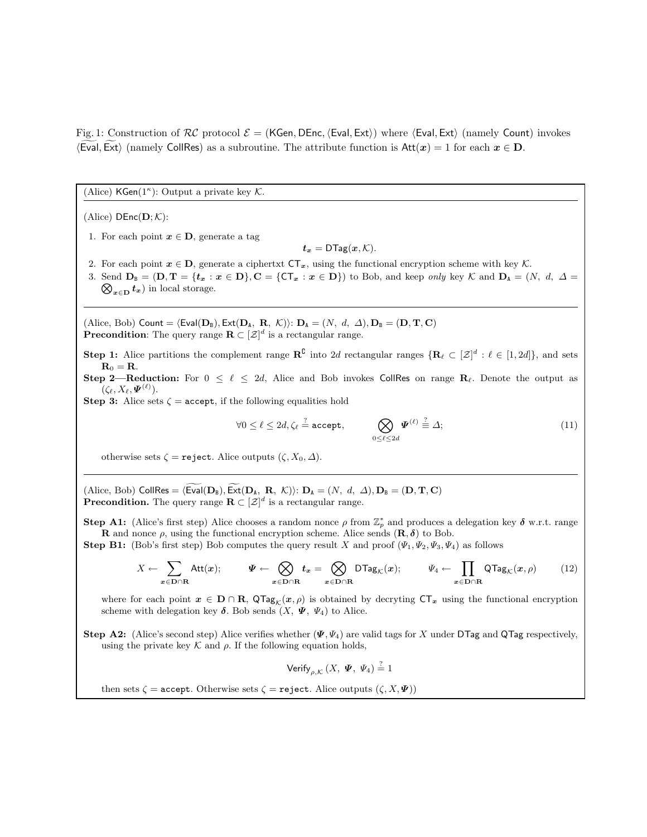<span id="page-7-0"></span>Fig. 1: Construction of  $RC$  protocol  $\mathcal{E} = (KGen, DEnc, \langle Eval, Ext \rangle)$  where  $\langle Eval, Ext \rangle$  (namely Count) invokes  $\langle$  Eval, Ext $\rangle$  (namely CollRes) as a subroutine. The attribute function is Att $(x) = 1$  for each  $x \in D$ .

(Alice)  $\mathsf{KGen}(1^{\kappa})$ : Output a private key  $\mathcal{K}$ .

(Alice)  $DEnc(D; K)$ :

1. For each point  $x \in D$ , generate a tag

 $t_x = \mathsf{DTag}(x, \mathcal{K}).$ 

- 2. For each point  $x \in D$ , generate a ciphertxt  $CT_x$ , using the functional encryption scheme with key K.
- 3. Send  $D_B = (D, T = \{t_x : x \in D\}, C = \{CT_x : x \in D\})$  to Bob, and keep *only* key K and  $D_A = (N, d, \Delta =$  $\bigotimes_{x \in D} t_x$  in local storage.

(Alice, Bob) Count =  $\langle$  Eval( $D_B$ ), Ext( $D_A$ , R,  $\mathcal{K}$ )):  $D_A = (N, d, \Delta)$ ,  $D_B = (D, T, C)$ **Precondition**: The query range  $\mathbf{R} \subset [\mathcal{Z}]^d$  is a rectangular range.

**Step 1:** Alice partitions the complement range  $\mathbb{R}^{\mathbb{C}}$  into 2d rectangular ranges  $\{\mathbf{R}_{\ell} \subset [\mathcal{Z}]^d : \ell \in [1, 2d]\}$ , and sets  $\mathbf{R}_0 = \mathbf{R}$ .

Step 2—Reduction: For  $0 \le \ell \le 2d$ , Alice and Bob invokes CollRes on range R<sub> $\ell$ </sub>. Denote the output as  $(\zeta_{\ell}, X_{\ell}, \boldsymbol{\varPsi}^{(\ell)}).$ 

Step 3: Alice sets  $\zeta$  = accept, if the following equalities hold

$$
\forall 0 \le \ell \le 2d, \zeta_{\ell} \stackrel{?}{=} \text{accept}, \qquad \bigotimes_{0 \le \ell \le 2d} \Psi^{(\ell)} \stackrel{?}{=} \Delta; \tag{11}
$$

otherwise sets  $\zeta =$  reject. Alice outputs  $(\zeta, X_0, \Delta)$ .

(Alice, Bob) CollRes =  $\langle \text{Eval}(\mathbf{D}_B), \text{Ext}(\mathbf{D}_A, \mathbf{R}, \mathcal{K}) \rangle$ :  $\mathbf{D}_A = (N, d, \Delta), \mathbf{D}_B = (\mathbf{D}, \mathbf{T}, \mathbf{C})$ **Precondition.** The query range  $\mathbf{R} \subset [\mathcal{Z}]^d$  is a rectangular range.

Step A1: (Alice's first step) Alice chooses a random nonce  $\rho$  from  $\mathbb{Z}_p^*$  and produces a delegation key  $\delta$  w.r.t. range **R** and nonce  $\rho$ , using the functional encryption scheme. Alice sends  $(\mathbf{R}, \delta)$  to Bob.

**Step B1:** (Bob's first step) Bob computes the query result X and proof  $(\Psi_1, \Psi_2, \Psi_3, \Psi_4)$  as follows

$$
X \leftarrow \sum_{x \in D \cap R} \text{Att}(x); \qquad \Psi \leftarrow \bigotimes_{x \in D \cap R} t_x = \bigotimes_{x \in D \cap R} \text{DTag}_{\mathcal{K}}(x); \qquad \Psi_4 \leftarrow \prod_{x \in D \cap R} \text{QTag}_{\mathcal{K}}(x,\rho) \tag{12}
$$

where for each point  $x \in D \cap R$ ,  $\mathsf{QTag}_K(x, \rho)$  is obtained by decryting  $\mathsf{CT}_x$  using the functional encryption scheme with delegation key  $\delta$ . Bob sends  $(X, \Psi, \Psi_4)$  to Alice.

Step A2: (Alice's second step) Alice verifies whether  $(\Psi, \Psi_4)$  are valid tags for X under DTag and QTag respectively, using the private key  $\mathcal K$  and  $\rho$ . If the following equation holds,

Verify $_{\rho,\mathcal{K}}\left( X,\;\boldsymbol{\varPsi },\;\Psi _{4}\right) \overset{?}{=}1$ 

then sets  $\zeta$  = accept. Otherwise sets  $\zeta$  = reject. Alice outputs  $(\zeta, X, \Psi)$ )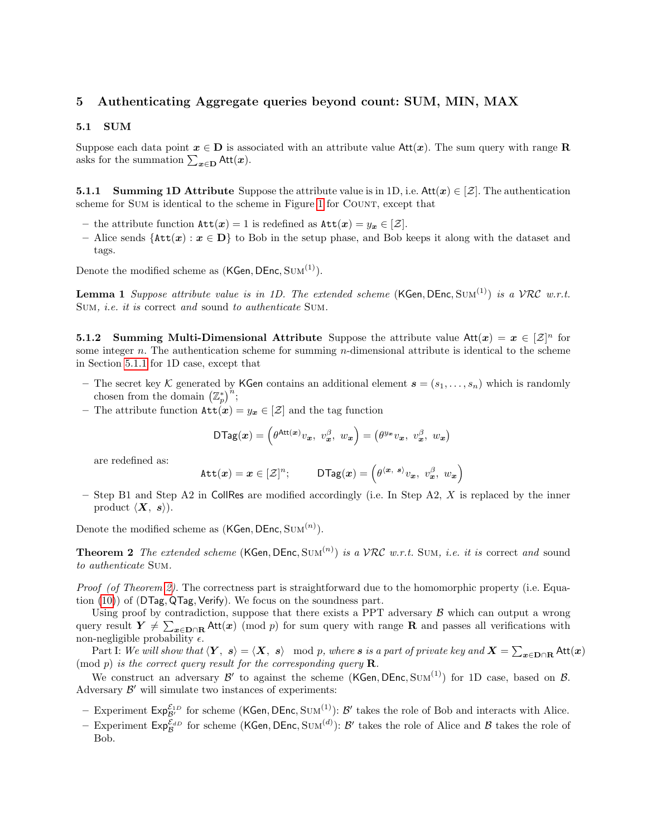# 5 Authenticating Aggregate queries beyond count: SUM, MIN, MAX

### <span id="page-8-3"></span>5.1 SUM

Suppose each data point  $x \in D$  is associated with an attribute value Att $(x)$ . The sum query with range R asks for the summation  $\sum_{\mathbf{x} \in \mathbf{D}} \mathsf{Att}(\mathbf{x})$ .

<span id="page-8-0"></span>**5.1.1** Summing 1D Attribute Suppose the attribute value is in 1D, i.e.  $Att(x) \in [\mathcal{Z}]$ . The authentication scheme for SUM is identical to the scheme in Figure [1](#page-7-0) for COUNT, except that

- the attribute function  $\texttt{Att}(x) = 1$  is redefined as  $\texttt{Att}(x) = y_x \in [\mathcal{Z}].$
- Alice sends  $\{Att(x) : x \in D\}$  to Bob in the setup phase, and Bob keeps it along with the dataset and tags.

Denote the modified scheme as  $(KGen, DEnc, Sum^{(1)})$ .

<span id="page-8-2"></span>**Lemma 1** Suppose attribute value is in 1D. The extended scheme  $(KGen, DEnc, Sum^{(1)})$  is a VRC w.r.t. Sum, i.e. it is correct and sound to authenticate Sum.

**5.1.2** Summing Multi-Dimensional Attribute Suppose the attribute value Att $(x) = x \in [\mathcal{Z}]^n$  for some integer n. The authentication scheme for summing n-dimensional attribute is identical to the scheme in Section [5.1.1](#page-8-0) for 1D case, except that

- The secret key K generated by KGen contains an additional element  $\mathbf{s} = (s_1, \ldots, s_n)$  which is randomly chosen from the domain  $(\mathbb{Z}_p^*)^n$ ;
- The attribute function  $\texttt{Att}(x) = y_x \in [\mathcal{Z}]$  and the tag function

$$
\mathsf{DTag}(\boldsymbol{x}) = \Big(\theta^{\mathsf{Att}(\boldsymbol{x})}v_{\boldsymbol{x}},\ v_{\boldsymbol{x}}^{\beta},\ w_{\boldsymbol{x}}\Big) = \left(\theta^{y_{\boldsymbol{x}}}v_{\boldsymbol{x}},\ v_{\boldsymbol{x}}^{\beta},\ w_{\boldsymbol{x}}\right)
$$

are redefined as:

$$
\mathtt{Att}(\boldsymbol{x}) = \boldsymbol{x} \in [\mathcal{Z}]^n; \qquad \mathsf{DTag}(\boldsymbol{x}) = \left(\theta^{\langle \boldsymbol{x}, \ \boldsymbol{s} \rangle} v_{\boldsymbol{x}}, \ v_{\boldsymbol{x}}^{\beta}, \ w_{\boldsymbol{x}}\right)
$$

 $-$  Step B1 and Step A2 in CollRes are modified accordingly (i.e. In Step A2, X is replaced by the inner product  $\langle X, s \rangle$ .

<span id="page-8-1"></span>Denote the modified scheme as  $(KGen, DEnc, SUM^{(n)})$ .

**Theorem 2** The extended scheme  $(KGen, DEnc, SUM^{(n)})$  is a VRC w.r.t. SUM, i.e. it is correct and sound to authenticate Sum.

Proof (of Theorem [2\)](#page-8-1). The correctness part is straightforward due to the homomorphic property (i.e. Equation [\(10\)](#page-6-3)) of (DTag, QTag, Verify). We focus on the soundness part.

Using proof by contradiction, suppose that there exists a PPT adversary  $\beta$  which can output a wrong query result  $Y \neq \sum_{x \in D \cap R} \text{Att}(x) \pmod{p}$  for sum query with range R and passes all verifications with non-negligible probability  $\epsilon$ .

Part I: We will show that  $\langle Y, s \rangle = \langle X, s \rangle \mod p$ , where  $s$  is a part of private key and  $X = \sum_{\bm{x} \in \mathbf{D} \cap \mathbf{R}} \mathsf{Att}(\bm{x})$  $\pmod{p}$  is the correct query result for the corresponding query **R**.

We construct an adversary  $\mathcal{B}'$  to against the scheme (KGen, DEnc, SUM<sup>(1)</sup>) for 1D case, based on  $\mathcal{B}$ . Adversary  $\mathcal{B}'$  will simulate two instances of experiments:

- Experiment  $Exp_{\mathcal{B}'}^{\mathcal{E}_{1D}}$  for scheme (KGen, DEnc, SUM<sup>(1)</sup>):  $\mathcal{B}'$  takes the role of Bob and interacts with Alice.
- Experiment  $Exp_{\mathcal{B}}^{\mathcal{E}_{dD}}$  for scheme (KGen, DEnc, SUM<sup>(d)</sup>):  $\mathcal{B}'$  takes the role of Alice and  $\mathcal{B}$  takes the role of Bob.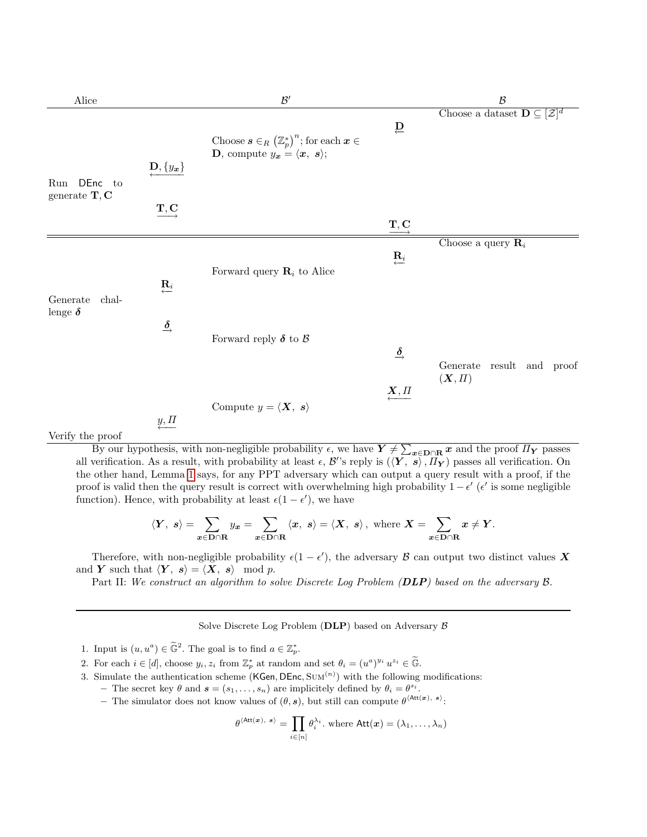| Alice                                       |                                                 | $\mathcal{B}'$                                                                                              |                                                 | $\mathcal B$                                            |
|---------------------------------------------|-------------------------------------------------|-------------------------------------------------------------------------------------------------------------|-------------------------------------------------|---------------------------------------------------------|
|                                             | $\mathbf{D}, \{y_x\}$                           | Choose $s \in_R (\mathbb{Z}_p^*)^n$ ; for each $x \in$<br><b>D</b> , compute $y_x = \langle x, s \rangle$ ; | $\overline{D}$                                  | Choose a dataset $\mathbf{D} \subseteq [\mathcal{Z}]^d$ |
| <b>DEnc</b><br>Run<br>to<br>generate $T, C$ | $\underline{\mathbf{T}},\underline{\mathbf{C}}$ |                                                                                                             | $\underline{\mathbf{T}},\underline{\mathbf{C}}$ |                                                         |
| Generate<br>chal-                           | $\mathbf{R}_i$                                  | Forward query $\mathbf{R}_i$ to Alice                                                                       | $\mathbf{R}_i$                                  | Choose a query $\mathbf{R}_i$                           |
| lenge $\pmb{\delta}$                        | $\stackrel{\delta}{\rightarrow}$                | Forward reply $\pmb{\delta}$ to $\mathcal B$                                                                | $\stackrel{\delta}{\rightarrow}$                | result and proof<br>Generate                            |
| $T$ $T$ $T$ $T$ $T$ $T$ $T$<br>$\epsilon$   | $\underline{y}, \underline{\Pi}$                | Compute $y = \langle \mathbf{X}, s \rangle$                                                                 | $\underbrace{X}, \underline{\Pi}$               | $(X,\Pi)$                                               |

Verify the proof

By our hypothesis, with non-negligible probability  $\epsilon$ , we have  $Y \neq \sum_{x \in D \cap R} x$  and the proof  $\Pi_Y$  passes all verification. As a result, with probability at least  $\epsilon$ ,  $\mathcal{B}$ 's reply is  $(\langle Y, s \rangle, \overline{H_Y})$  passes all verification. On the other hand, Lemma [1](#page-8-2) says, for any PPT adversary which can output a query result with a proof, if the proof is valid then the query result is correct with overwhelming high probability  $1 - \epsilon'$  ( $\epsilon'$  is some negligible function). Hence, with probability at least  $\epsilon(1 - \epsilon')$ , we have

$$
\langle Y, s \rangle = \sum_{x \in \mathbf{D} \cap \mathbf{R}} y_x = \sum_{x \in \mathbf{D} \cap \mathbf{R}} \langle x, s \rangle = \langle X, s \rangle, \text{ where } X = \sum_{x \in \mathbf{D} \cap \mathbf{R}} x \neq Y.
$$

Therefore, with non-negligible probability  $\epsilon(1-\epsilon')$ , the adversary  $\beta$  can output two distinct values X and Y such that  $\langle Y, s \rangle = \langle X, s \rangle \mod p$ .

Part II: We construct an algorithm to solve Discrete Log Problem (DLP) based on the adversary  $\beta$ .

Solve Discrete Log Problem (DLP) based on Adversary  $\beta$ 

1. Input is  $(u, u^a) \in \tilde{\mathbb{G}}^2$ . The goal is to find  $a \in \mathbb{Z}_p^*$ .

- 2. For each  $i \in [d]$ , choose  $y_i, z_i$  from  $\mathbb{Z}_p^*$  at random and set  $\theta_i = (u^a)^{y_i} u^{z_i} \in \widetilde{\mathbb{G}}$ .
- 3. Simulate the authentication scheme (KGen, DEnc,  $Sum<sup>(n)</sup>$ ) with the following modifications:
	- The secret key  $\theta$  and  $\mathbf{s} = (s_1, \dots, s_n)$  are implicitely defined by  $\theta_i = \theta^{s_i}$ .
		- The simulator does not know values of  $(\theta, s)$ , but still can compute  $\theta^{\text{(Att}(x), s)}$ :

$$
\theta^{\langle \text{Att}(\bm{x}), \bm{s} \rangle} = \prod_{i \in [n]} \theta_i^{\lambda_i}.
$$
 where  $\text{Att}(\bm{x}) = (\lambda_1, \dots, \lambda_n)$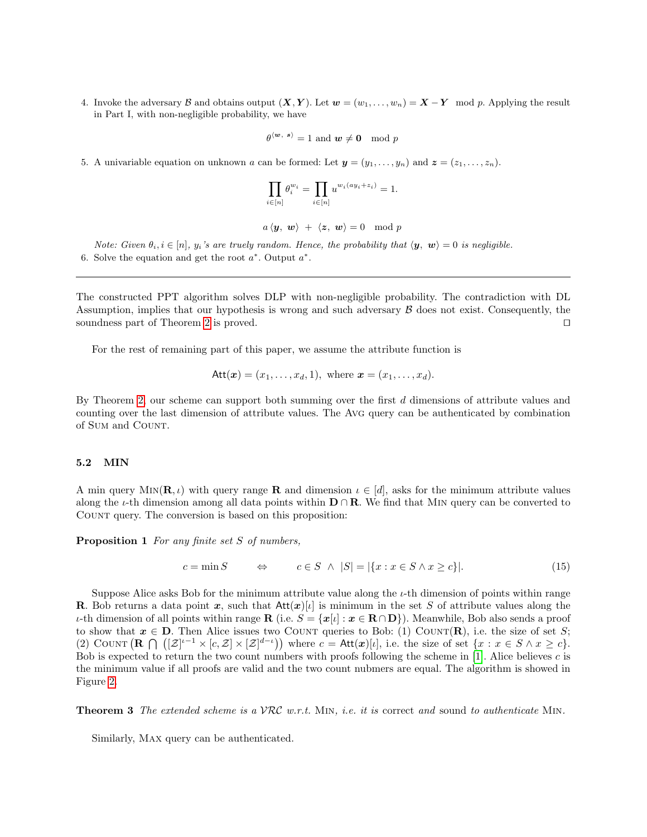4. Invoke the adversary B and obtains output  $(X, Y)$ . Let  $w = (w_1, \ldots, w_n) = X - Y \mod p$ . Applying the result in Part I, with non-negligible probability, we have

$$
\theta^{\langle \boldsymbol{w}, \ \boldsymbol{s} \rangle} = 1 \text{ and } \boldsymbol{w} \neq \boldsymbol{0} \mod p
$$

5. A univariable equation on unknown a can be formed: Let  $y = (y_1, \ldots, y_n)$  and  $z = (z_1, \ldots, z_n)$ .

$$
\prod_{i \in [n]} \theta_i^{w_i} = \prod_{i \in [n]} u^{w_i(ay_i + z_i)} = 1.
$$

$$
a\langle y, w\rangle + \langle z, w\rangle = 0 \mod p
$$

Note: Given  $\theta_i, i \in [n], y_i$ 's are truely random. Hence, the probability that  $\langle y, w \rangle = 0$  is negligible. 6. Solve the equation and get the root  $a^*$ . Output  $a^*$ .

The constructed PPT algorithm solves DLP with non-negligible probability. The contradiction with DL Assumption, implies that our hypothesis is wrong and such adversary  $\beta$  does not exist. Consequently, the soundness part of Theorem [2](#page-8-1) is proved.  $\Box$ 

For the rest of remaining part of this paper, we assume the attribute function is

$$
Att(x) = (x_1, ..., x_d, 1), where x = (x_1, ..., x_d).
$$

By Theorem [2,](#page-8-1) our scheme can support both summing over the first d dimensions of attribute values and counting over the last dimension of attribute values. The Avg query can be authenticated by combination of SUM and COUNT.

### 5.2 MIN

A min query MIN( $\mathbf{R}, \iota$ ) with query range **R** and dimension  $\iota \in [d]$ , asks for the minimum attribute values along the  $\iota$ -th dimension among all data points within  $\mathbf{D} \cap \mathbf{R}$ . We find that MIN query can be converted to Count query. The conversion is based on this proposition:

Proposition 1 For any finite set S of numbers,

$$
c = \min S \qquad \Leftrightarrow \qquad c \in S \ \land \ |S| = |\{x : x \in S \land x \ge c\}|. \tag{15}
$$

Suppose Alice asks Bob for the minimum attribute value along the  $\iota$ -th dimension of points within range **R**. Bob returns a data point x, such that  $Att(x)[\iota]$  is minimum in the set S of attribute values along the *ι*-th dimension of all points within range **R** (i.e. *S* = { $x$ [*ι*] :  $x ∈ \mathbf{R} ∩ \mathbf{D}$ }). Meanwhile, Bob also sends a proof to show that  $x \in D$ . Then Alice issues two COUNT queries to Bob: (1) COUNT(**R**), i.e. the size of set S; (2) COUNT  $(\mathbf{R} \cap ([\mathcal{Z}]^{t-1} \times [c, \mathcal{Z}] \times [\mathcal{Z}]^{d-t}))$  where  $c = \text{Att}(\mathbf{x})[t]$ , i.e. the size of set  $\{x : x \in S \land x \geq c\}$ . Bob is expected to return the two count numbers with proofs following the scheme in [\[1\]](#page-16-0). Alice believes  $c$  is the minimum value if all proofs are valid and the two count nubmers are equal. The algorithm is showed in Figure [2.](#page-11-0)

**Theorem 3** The extended scheme is a  $VRC$  w.r.t. MIN, i.e. it is correct and sound to authenticate MIN.

Similarly, Max query can be authenticated.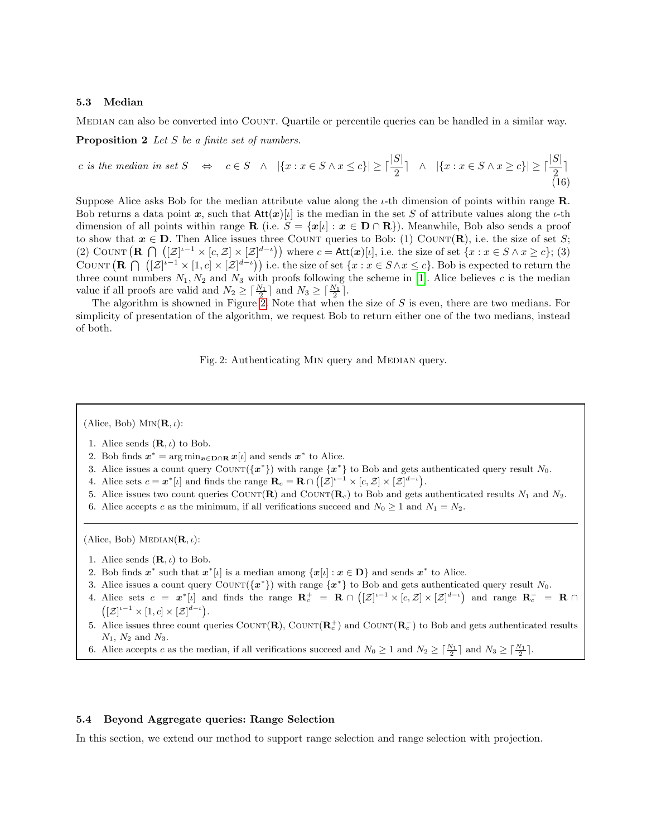#### 5.3 Median

MEDIAN can also be converted into COUNT. Quartile or percentile queries can be handled in a similar way.

Proposition 2 Let S be a finite set of numbers.

*c* is the median in set 
$$
S
$$
  $\Leftrightarrow$   $c \in S \ \land \ |{x : x \in S \land x \le c\}| \ge \lceil \frac{|S|}{2} \rceil \ \land \ |{x : x \in S \land x \ge c}\| \ge \lceil \frac{|S|}{2} \rceil$  (16)

Suppose Alice asks Bob for the median attribute value along the  $\iota$ -th dimension of points within range **R**. Bob returns a data point x, such that  $Att(x)[\iota]$  is the median in the set S of attribute values along the  $\iota$ -th dimension of all points within range **R** (i.e.  $S = \{x[i] : x \in D \cap \mathbb{R}\}\)$ . Meanwhile, Bob also sends a proof to show that  $x \in D$ . Then Alice issues three COUNT queries to Bob: (1) COUNT(R), i.e. the size of set S; (2) COUNT  $(\mathbf{R} \cap ([\mathcal{Z}]^{t-1} \times [c, \mathcal{Z}] \times [\mathcal{Z}]^{d-t}))$  where  $c = \mathsf{Att}(\mathbf{x})[t]$ , i.e. the size of set  $\{x : x \in S \land x \geq c\}$ ; (3) COUNT  $(\mathbf{R} \cap ([\mathcal{Z}]^{i-1} \times [1, c] \times [\mathcal{Z}]^{d-i}))$  i.e. the size of set  $\{x : x \in S \land x \leq c\}$ . Bob is expected to return the three count numbers  $N_1, N_2$  and  $N_3$  with proofs following the scheme in [\[1\]](#page-16-0). Alice believes c is the median value if all proofs are valid and  $N_2 \geq \lceil \frac{N_1}{2} \rceil$  and  $N_3 \geq \lceil \frac{N_1}{2} \rceil$ .

<span id="page-11-0"></span>The algorithm is showned in Figure [2.](#page-11-0) Note that when the size of S is even, there are two medians. For simplicity of presentation of the algorithm, we request Bob to return either one of the two medians, instead of both.

Fig. 2: Authenticating MIN query and MEDIAN query.

(Alice, Bob)  $\text{MIN}(\mathbf{R}, \iota)$ :

- 1. Alice sends  $(\mathbf{R}, \iota)$  to Bob.
- 2. Bob finds  $x^* = \arg \min_{x \in \mathbf{D} \cap \mathbf{R}} x[\iota]$  and sends  $x^*$  to Alice.
- 3. Alice issues a count query COUNT( ${x^*}$ ) with range  ${x^*}$  to Bob and gets authenticated query result  $N_0$ .
- 4. Alice sets  $c = \boldsymbol{x}^*[\iota]$  and finds the range  $\mathbf{R}_c = \mathbf{R} \cap ([\mathcal{Z}]^{\iota-1} \times [c, \mathcal{Z}] \times [\mathcal{Z}]^{d-\iota}).$
- 5. Alice issues two count queries COUNT(R) and COUNT(R<sub>c</sub>) to Bob and gets authenticated results  $N_1$  and  $N_2$ .
- 6. Alice accepts c as the minimum, if all verifications succeed and  $N_0 \ge 1$  and  $N_1 = N_2$ .

(Alice, Bob) MEDIAN( $\mathbf{R}, \iota$ ):

- 1. Alice sends  $(\mathbf{R}, \iota)$  to Bob.
- 2. Bob finds  $x^*$  such that  $x^*[\iota]$  is a median among  $\{x[\iota]: x \in D\}$  and sends  $x^*$  to Alice.
- 3. Alice issues a count query COUNT( ${x^*}$ ) with range  ${x^*}$  to Bob and gets authenticated query result N<sub>0</sub>.
- 4. Alice sets  $c = x^*[\iota]$  and finds the range  $\mathbb{R}_c^+ = \mathbb{R} \cap ([\mathcal{Z}]^{\iota-1} \times [c, \mathcal{Z}] \times [\mathcal{Z}]^{d-\iota}$  and range  $\mathbb{R}_c^- = \mathbb{R} \cap$  $\left( [\mathcal{Z}]^{i-1} \times [1, c] \times [\mathcal{Z}]^{d-i} \right).$
- 5. Alice issues three count queries COUNT( $\mathbf{R}$ ), COUNT( $\mathbf{R}^+_c$ ) and COUNT( $\mathbf{R}^-_c$ ) to Bob and gets authenticated results  $N_1$ ,  $N_2$  and  $N_3$ .
- 6. Alice accepts c as the median, if all verifications succeed and  $N_0 \geq 1$  and  $N_2 \geq \lceil \frac{N_1}{2} \rceil$  and  $N_3 \geq \lceil \frac{N_1}{2} \rceil$ .

### 5.4 Beyond Aggregate queries: Range Selection

In this section, we extend our method to support range selection and range selection with projection.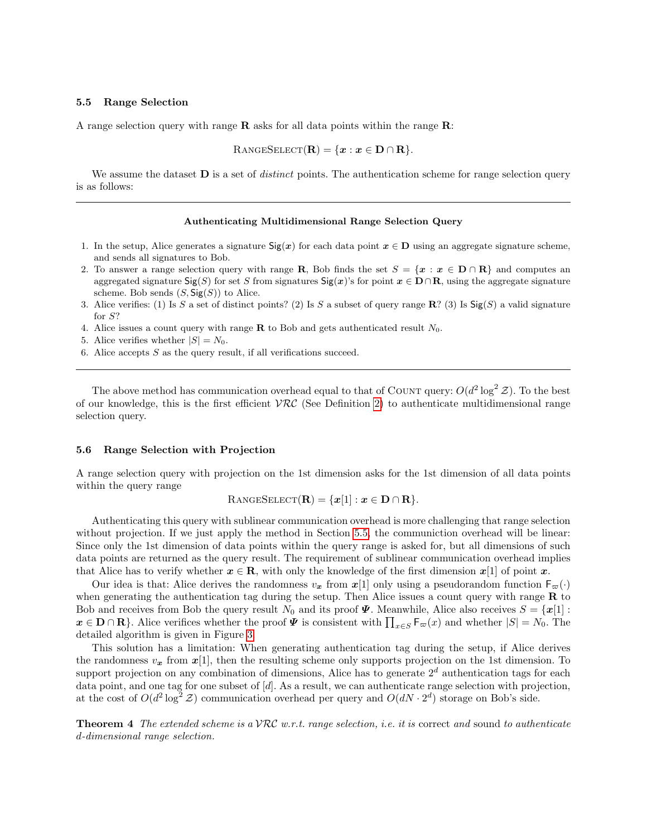#### <span id="page-12-0"></span>5.5 Range Selection

A range selection query with range  $\bf{R}$  asks for all data points within the range  $\bf{R}$ :

$$
RangeSELECT(\mathbf{R}) = \{x : x \in \mathbf{D} \cap \mathbf{R}\}.
$$

We assume the dataset  **is a set of** *distinct* **points. The authentication scheme for range selection query** is as follows:

#### Authenticating Multidimensional Range Selection Query

- 1. In the setup, Alice generates a signature  $\text{Sig}(x)$  for each data point  $x \in D$  using an aggregate signature scheme, and sends all signatures to Bob.
- 2. To answer a range selection query with range R, Bob finds the set  $S = \{x : x \in D \cap R\}$  and computes an aggregated signature  $\text{Sig}(S)$  for set S from signatures  $\text{Sig}(x)$ 's for point  $x \in \mathbf{D} \cap \mathbf{R}$ , using the aggregate signature scheme. Bob sends  $(S, \mathsf{Sig}(S))$  to Alice.
- 3. Alice verifies: (1) Is S a set of distinct points? (2) Is S a subset of query range  $\mathbb{R}^2$  (3) Is  $\text{Sig}(S)$  a valid signature for S?
- 4. Alice issues a count query with range  $\bf{R}$  to Bob and gets authenticated result  $N_0$ .
- 5. Alice verifies whether  $|S| = N_0$ .
- 6. Alice accepts  $S$  as the query result, if all verifications succeed.

The above method has communication overhead equal to that of COUNT query:  $O(d^2 \log^2 \mathcal{Z})$ . To the best of our knowledge, this is the first efficient  $VRC$  (See Definition [2\)](#page-4-0) to authenticate multidimensional range selection query.

#### 5.6 Range Selection with Projection

A range selection query with projection on the 1st dimension asks for the 1st dimension of all data points within the query range

$$
RangeSELECT(\mathbf{R}) = \{x[1] : x \in \mathbf{D} \cap \mathbf{R}\}.
$$

Authenticating this query with sublinear communication overhead is more challenging that range selection without projection. If we just apply the method in Section [5.5,](#page-12-0) the communiction overhead will be linear: Since only the 1st dimension of data points within the query range is asked for, but all dimensions of such data points are returned as the query result. The requirement of sublinear communication overhead implies that Alice has to verify whether  $x \in \mathbf{R}$ , with only the knowledge of the first dimension  $x[1]$  of point x.

Our idea is that: Alice derives the randomness  $v_x$  from  $x[1]$  only using a pseudorandom function  $F_{\varpi}(\cdot)$ when generating the authentication tag during the setup. Then Alice issues a count query with range  **to** Bob and receives from Bob the query result  $N_0$  and its proof  $\Psi$ . Meanwhile, Alice also receives  $S = {\mathbf{x}[1]}$ :  $x \in \mathbf{D} \cap \mathbf{R}$ . Alice verifices whether the proof  $\Psi$  is consistent with  $\prod_{x \in S} \mathsf{F}_{\varpi}(x)$  and whether  $|S| = N_0$ . The detailed algorithm is given in Figure [3.](#page-13-0)

This solution has a limitation: When generating authentication tag during the setup, if Alice derives the randomness  $v_x$  from  $x[1]$ , then the resulting scheme only supports projection on the 1st dimension. To support projection on any combination of dimensions, Alice has to generate  $2<sup>d</sup>$  authentication tags for each data point, and one tag for one subset of  $[d]$ . As a result, we can authenticate range selection with projection, at the cost of  $O(d^2 \log^2 \mathcal{Z})$  communication overhead per query and  $O(dN \cdot 2^d)$  storage on Bob's side.

**Theorem 4** The extended scheme is a VRC w.r.t. range selection, i.e. it is correct and sound to authenticate d-dimensional range selection.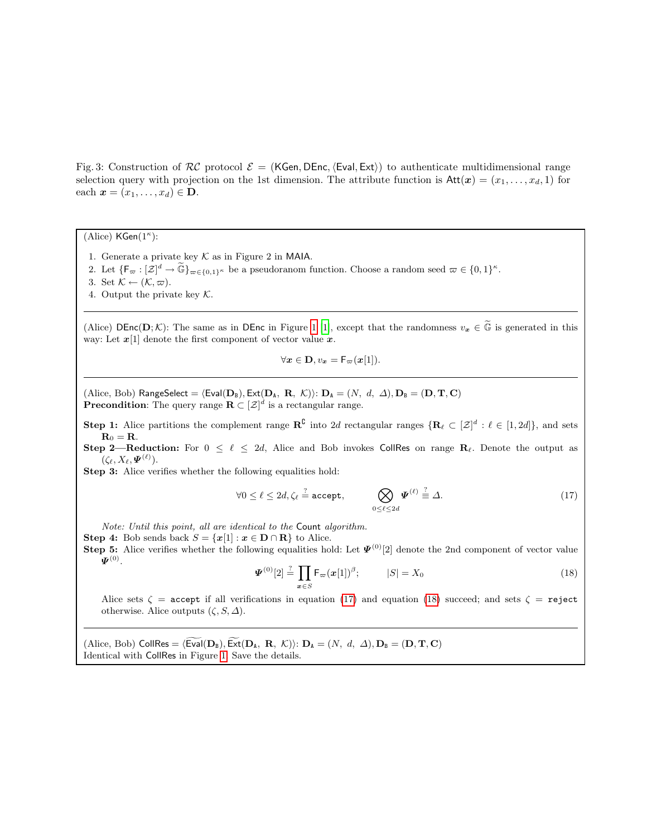<span id="page-13-0"></span>Fig. 3: Construction of  $RC$  protocol  $\mathcal{E} = (KGen, DEnc, \langle Eval, Ext \rangle)$  to authenticate multidimensional range selection query with projection on the 1st dimension. The attribute function is  $Att(x) = (x_1, \ldots, x_d, 1)$  for each  $\mathbf{x} = (x_1, \ldots, x_d) \in \mathbf{D}$ .

(Alice)  $\mathsf{KGen}(1^\kappa)$ :

- 1. Generate a private key  $K$  as in Figure 2 in MAIA.
- 2. Let  $\{F_\varpi : [\mathcal{Z}]^d \to \widetilde{\mathbb{G}}\}_{\varpi \in \{0,1\}^\kappa}$  be a pseudoranom function. Choose a random seed  $\varpi \in \{0,1\}^\kappa$ .
- 3. Set  $\mathcal{K} \leftarrow (\mathcal{K}, \varpi)$ .
- 4. Output the private key  $K$ .

(Alice) DEnc(D; K): The same as in DEnc in Figure [1](#page-7-0) [\[1\]](#page-16-0), except that the randomness  $v_x \in \tilde{\mathbb{G}}$  is generated in this way: Let  $x[1]$  denote the first component of vector value  $x$ .

$$
\forall x \in \mathbf{D}, v_x = \mathsf{F}_{\varpi}(x[1]).
$$

(Alice, Bob) RangeSelect =  $\langle \text{Eval}(\mathbf{D}_B), \text{Ext}(\mathbf{D}_A, \mathbf{R}, \mathcal{K}) \rangle$ :  $\mathbf{D}_A = (N, d, \Delta), \mathbf{D}_B = (\mathbf{D}, \mathbf{T}, \mathbf{C})$ **Precondition**: The query range  $\mathbf{R} \subset [\mathcal{Z}]^d$  is a rectangular range.

**Step 1:** Alice partitions the complement range  $\mathbb{R}^{\mathbb{C}}$  into 2d rectangular ranges  $\{\mathbf{R}_{\ell} \subset [\mathcal{Z}]^d : \ell \in [1, 2d]\}$ , and sets  $\mathbf{R}_0 = \mathbf{R}$ .

Step 2—Reduction: For  $0 \le \ell \le 2d$ , Alice and Bob invokes CollRes on range  $\mathbb{R}_{\ell}$ . Denote the output as  $(\zeta_{\ell}, X_{\ell}, \boldsymbol{\varPsi}^{(\ell)}).$ 

Step 3: Alice verifies whether the following equalities hold:

<span id="page-13-1"></span>
$$
\forall 0 \leq \ell \leq 2d, \zeta_{\ell} \stackrel{?}{=} \text{accept}, \qquad \bigotimes_{0 \leq \ell \leq 2d} \Psi^{(\ell)} \stackrel{?}{=} \Delta.
$$
 (17)

Note: Until this point, all are identical to the Count algorithm.

Step 4: Bob sends back  $S = \{x[1] : x \in D \cap \mathbb{R}\}\)$  to Alice.

**Step 5:** Alice verifies whether the following equalities hold: Let  $\Psi^{(0)}[2]$  denote the 2nd component of vector value  $\boldsymbol{\varPsi}^{(0)}$  .

<span id="page-13-2"></span>
$$
\Psi^{(0)}[2] \stackrel{?}{=} \prod_{x \in S} \mathsf{F}_{\varpi}(x[1])^{\beta}; \qquad |S| = X_0 \tag{18}
$$

Alice sets  $\zeta$  = accept if all verifications in equation [\(17\)](#page-13-1) and equation [\(18\)](#page-13-2) succeed; and sets  $\zeta$  = reject otherwise. Alice outputs  $(\zeta, S, \Delta)$ .

(Alice, Bob) CollRes =  $\langle \text{Eval}(\mathbf{D}_B), \text{Ext}(\mathbf{D}_A, R, \mathcal{K}) \rangle$ :  $\mathbf{D}_A = (N, d, \Delta), \mathbf{D}_B = (\mathbf{D}, \mathbf{T}, \mathbf{C})$ Identical with CollRes in Figure [1.](#page-7-0) Save the details.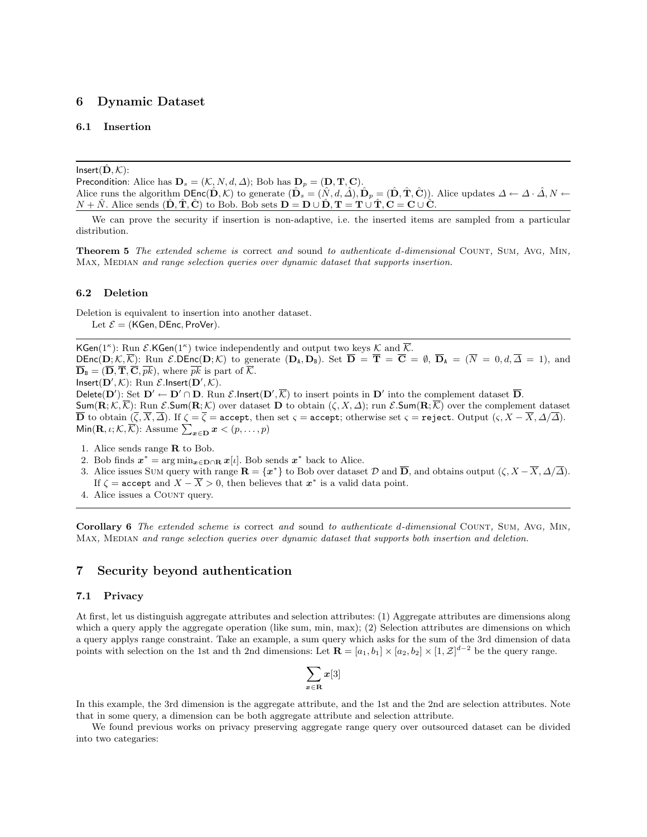### 6 Dynamic Dataset

### 6.1 Insertion

 $Insert(D, K):$ 

Precondition: Alice has  $\mathbf{D}_s = (\mathcal{K}, N, d, \Delta)$ ; Bob has  $\mathbf{D}_p = (\mathbf{D}, \mathbf{T}, \mathbf{C})$ . Alice runs the algorithm  $\text{DEnc}(\hat{\mathbf{D}}, \mathcal{K})$  to generate  $(\hat{\mathbf{D}}_s = (\hat{N}, d, \hat{\Delta}), \hat{\mathbf{D}}_p = (\hat{\mathbf{D}}, \hat{\mathbf{T}}, \hat{\mathbf{C}})$ ). Alice updates  $\Delta \leftarrow \Delta \cdot \hat{\Delta}, N \leftarrow$  $N + \hat{N}$ . Alice sends  $(\hat{D}, \hat{T}, \hat{C})$  to Bob. Bob sets  $D = D \cup \hat{D}$ ,  $T = T \cup \hat{T}$ ,  $C = C \cup \hat{C}$ .

We can prove the security if insertion is non-adaptive, i.e. the inserted items are sampled from a particular distribution.

Theorem 5 The extended scheme is correct and sound to authenticate d-dimensional Count, Sum, Avg, Min, MAX, MEDIAN and range selection queries over dynamic dataset that supports insertion.

#### 6.2 Deletion

Deletion is equivalent to insertion into another dataset. Let  $\mathcal{E} =$  (KGen, DEnc, ProVer).

KGen( $1^{\kappa}$ ): Run  $\mathcal{E}$ .KGen( $1^{\kappa}$ ) twice independently and output two keys K and  $\overline{\mathcal{K}}$ .  $DEnc(\mathbf{D}; \mathcal{K}, \overline{\mathcal{K}})$ : Run  $\mathcal{E}.$  DEnc $(\mathbf{D}; \mathcal{K})$  to generate  $(\mathbf{D}_A, \mathbf{D}_B)$ . Set  $\overline{\mathbf{D}} = \overline{\mathbf{T}} = \overline{\mathbf{C}} = \emptyset$ ,  $\overline{\mathbf{D}}_A = (\overline{N} = 0, d, \overline{\Delta} = 1)$ , and  $\overline{\mathbf{D}}_{\text{B}} = (\overline{\mathbf{D}}, \overline{\mathbf{T}}, \overline{\mathbf{C}}, \overline{pk}),$  where  $\overline{pk}$  is part of  $\overline{\mathcal{K}}$ .  $Insert(D',\mathcal{K})$ : Run  $\mathcal{E}.Insert(D',\mathcal{K})$ .

Delete(D'): Set  $D' \leftarrow D' \cap D$ . Run  $\mathcal{E}$ .Insert(D',  $\overline{\mathcal{K}}$ ) to insert points in D' into the complement dataset  $\overline{D}$ .  $\textsf{Sum}(\mathbf{R}; \mathcal{K}, \overline{\mathcal{K}})$ : Run  $\mathcal{E}.\textsf{Sum}(\mathbf{R}; \mathcal{K})$  over dataset **D** to obtain  $(\zeta, X, \Delta)$ ; run  $\mathcal{E}.\textsf{Sum}(\mathbf{R}; \overline{\mathcal{K}})$  over the complement dataset **D** to obtain  $(\zeta, X, \Delta)$ . If  $\zeta = \zeta = \text{accept},$  then set  $\varsigma = \text{accept};$  otherwise set  $\varsigma = \text{reject}.$  Output  $(\varsigma, X - X, \Delta/\Delta)$ . Min $(\mathbf{R}, \iota; \mathcal{K}, \overline{\mathcal{K}})$ : Assume  $\sum_{\bm{x} \in \mathbf{D}} \bm{x} < (p, \dots, p)$ 

- 1. Alice sends range R to Bob.
- 2. Bob finds  $x^* = \arg \min_{x \in \mathbf{D} \cap \mathbf{R}} x[\iota]$ . Bob sends  $x^*$  back to Alice.
- 3. Alice issues Sum query with range  $\mathbf{R} = \{x^*\}$  to Bob over dataset  $\mathcal D$  and  $\overline{\mathbf{D}}$ , and obtains output  $(\zeta, X \overline{X}, \Delta/\overline{\Delta})$ . If  $\zeta = \texttt{accept}$  and  $X - \overline{X} > 0$ , then believes that  $\boldsymbol{x}^*$  is a valid data point.
- 4. Alice issues a Count query.

Corollary 6 The extended scheme is correct and sound to authenticate d-dimensional COUNT, SUM, AVG, MIN, MAX, MEDIAN and range selection queries over dynamic dataset that supports both insertion and deletion.

### 7 Security beyond authentication

### 7.1 Privacy

At first, let us distinguish aggregate attributes and selection attributes: (1) Aggregate attributes are dimensions along which a query apply the aggregate operation (like sum, min, max); (2) Selection attributes are dimensions on which a query applys range constraint. Take an example, a sum query which asks for the sum of the 3rd dimension of data points with selection on the 1st and th 2nd dimensions: Let  $\mathbf{R} = [a_1, b_1] \times [a_2, b_2] \times [1, \mathcal{Z}]^{d-2}$  be the query range.

$$
\sum_{x\in {\bf R}}x[3]
$$

In this example, the 3rd dimension is the aggregate attribute, and the 1st and the 2nd are selection attributes. Note that in some query, a dimension can be both aggregate attribute and selection attribute.

We found previous works on privacy preserving aggregate range query over outsourced dataset can be divided into two categaries: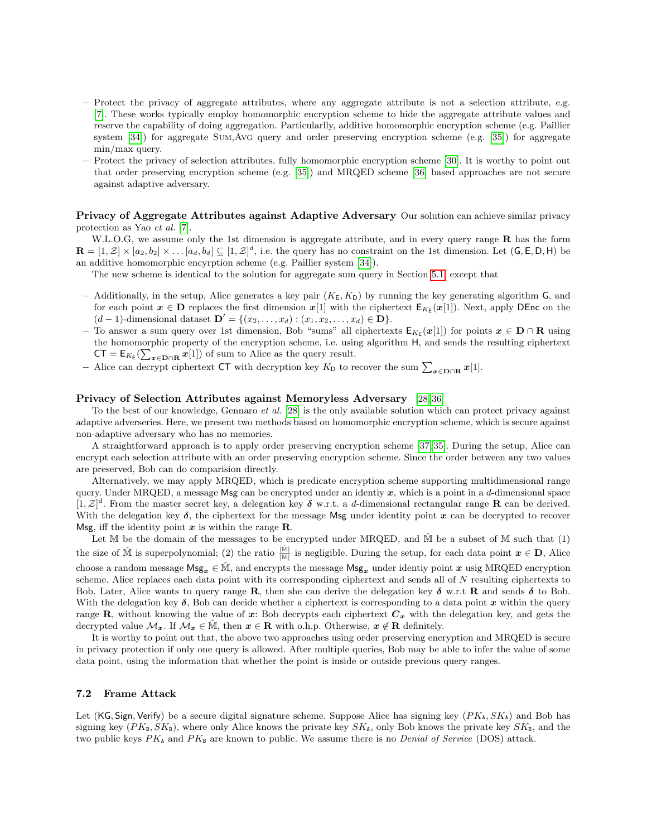- Protect the privacy of aggregate attributes, where any aggregate attribute is not a selection attribute, e.g. [\[7\]](#page-16-6). These works typically employ homomorphic encryption scheme to hide the aggregate attribute values and reserve the capability of doing aggregation. Particularlly, additive homomorphic encryption scheme (e.g. Paillier system [\[34\]](#page-17-25)) for aggregate Sum,Avg query and order preserving encryption scheme (e.g. [\[35\]](#page-17-26)) for aggregate min/max query.
- Protect the privacy of selection attributes. fully homomorphic encryption scheme [\[30\]](#page-17-21). It is worthy to point out that order preserving encryption scheme (e.g. [\[35\]](#page-17-26)) and MRQED scheme [\[36\]](#page-18-0) based approaches are not secure against adaptive adversary.

Privacy of Aggregate Attributes against Adaptive Adversary Our solution can achieve similar privacy protection as Yao et al. [\[7\]](#page-16-6).

W.L.O.G, we assume only the 1st dimension is aggregate attribute, and in every query range R has the form  $\mathbf{R} = [1, \mathcal{Z}] \times [a_2, b_2] \times \ldots [a_d, b_d] \subseteq [1, \mathcal{Z}]^d$ , i.e. the query has no constraint on the 1st dimension. Let  $(\mathsf{G}, \mathsf{E}, \mathsf{D}, \mathsf{H})$  be an additive homomorphic encyrption scheme (e.g. Paillier system [\[34\]](#page-17-25)).

The new scheme is identical to the solution for aggregate sum query in Section [5.1,](#page-8-3) except that

- Additionally, in the setup, Alice generates a key pair  $(K_E, K_D)$  by running the key generating algorithm G, and for each point  $x \in D$  replaces the first dimension  $x[1]$  with the ciphertext  $E_{K_E}(x[1])$ . Next, apply DEnc on the  $(d-1)$ -dimensional dataset  $\mathbf{D}' = \{(x_2, \ldots, x_d) : (x_1, x_2, \ldots, x_d) \in \mathbf{D}\}.$
- To answer a sum query over 1st dimension, Bob "sums" all ciphertexts  $E_{K_E}(x[1])$  for points  $x \in D \cap R$  using the homomorphic property of the encryption scheme, i.e. using algorithm H, and sends the resulting ciphertext  $CT = E_{K_E}(\sum_{x \in \mathbf{D} \cap \mathbf{R}} x[1])$  of sum to Alice as the query result.
- Alice can decrypt ciphertext CT with decryption key  $K_D$  to recover the sum  $\sum_{\bm{x} \in \mathbf{D} \cap \mathbf{R}} \bm{x}[1]$ .

#### Privacy of Selection Attributes against Memoryless Adversary [\[28,](#page-17-19) [36\]](#page-18-0)

To the best of our knowledge, Gennaro et al. [\[28\]](#page-17-19) is the only available solution which can protect privacy against adaptive adverseries. Here, we present two methods based on homomorphic encryption scheme, which is secure against non-adaptive adversary who has no memories.

A straightforward approach is to apply order preserving encryption scheme [\[37,](#page-18-1) [35\]](#page-17-26). During the setup, Alice can encrypt each selection attribute with an order preserving encryption scheme. Since the order between any two values are preserved, Bob can do comparision directly.

Alternatively, we may apply MRQED, which is predicate encryption scheme supporting multidimensional range query. Under MRQED, a message Msg can be encrypted under an identiy  $x$ , which is a point in a d-dimensional space  $[1, \mathcal{Z}]^d$ . From the master secret key, a delegation key  $\delta$  w.r.t. a d-dimensional rectangular range **R** can be derived. With the delegation key  $\delta$ , the ciphertext for the message Msg under identity point x can be decrypted to recover Msg, iff the identity point  $x$  is within the range **R**.

Let M be the domain of the messages to be encrypted under MRQED, and  $\hat{M}$  be a subset of M such that (1) the size of  $\hat{\mathbb{M}}$  is superpolynomial; (2) the ratio  $\frac{|\hat{\mathbb{M}}|}{|\mathbb{M}|}$  is negligible. During the setup, for each data point  $x \in \mathbf{D}$ , Alice choose a random message  $Msg_x \in \hat{M}$ , and encrypts the message  $Msg_x$  under identiy point x usig MRQED encryption scheme. Alice replaces each data point with its corresponding ciphertext and sends all of N resulting ciphertexts to Bob. Later, Alice wants to query range R, then she can derive the delegation key  $\delta$  w.r.t R and sends  $\delta$  to Bob. With the delegation key  $\delta$ , Bob can decide whether a ciphertext is corresponding to a data point x within the query range R, without knowing the value of x: Bob decrypts each ciphertext  $C_x$  with the delegation key, and gets the decrypted value  $\mathcal{M}_x$ . If  $\mathcal{M}_x \in \mathbb{M}$ , then  $x \in \mathbb{R}$  with o.h.p. Otherwise,  $x \notin \mathbb{R}$  definitely.

It is worthy to point out that, the above two approaches using order preserving encryption and MRQED is secure in privacy protection if only one query is allowed. After multiple queries, Bob may be able to infer the value of some data point, using the information that whether the point is inside or outside previous query ranges.

#### 7.2 Frame Attack

Let (KG, Sign, Verify) be a secure digital signature scheme. Suppose Alice has signing key  $(PK_A, SK_A)$  and Bob has signing key  $(PK_B, SK_B)$ , where only Alice knows the private key  $SK_A$ , only Bob knows the private key  $SK_B$ , and the two public keys  $PK_A$  and  $PK_B$  are known to public. We assume there is no *Denial of Service* (DOS) attack.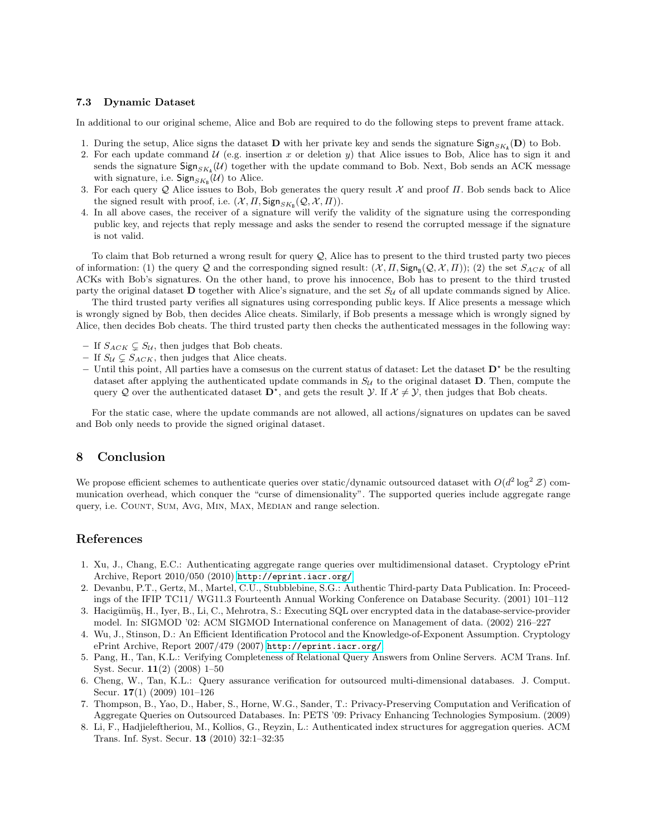#### 7.3 Dynamic Dataset

In additional to our original scheme, Alice and Bob are required to do the following steps to prevent frame attack.

- 1. During the setup, Alice signs the dataset **D** with her private key and sends the signature  $\text{Sign}_{SK_A}(\mathbf{D})$  to Bob.
- 2. For each update command  $U$  (e.g. insertion x or deletion y) that Alice issues to Bob, Alice has to sign it and sends the signature  $\textsf{Sign}_{SK_A}(\mathcal{U})$  together with the update command to Bob. Next, Bob sends an ACK message with signature, i.e.  $\mathsf{Sign}_{SK_B}(\mathcal{U})$  to Alice.
- 3. For each query Q Alice issues to Bob, Bob generates the query result X and proof  $\Pi$ . Bob sends back to Alice the signed result with proof, i.e.  $(\mathcal{X}, \Pi, \mathsf{Sign}_{SK_{\mathbb{B}}}(\mathcal{Q}, \mathcal{X}, \Pi)).$
- 4. In all above cases, the receiver of a signature will verify the validity of the signature using the corresponding public key, and rejects that reply message and asks the sender to resend the corrupted message if the signature is not valid.

To claim that Bob returned a wrong result for query  $Q$ , Alice has to present to the third trusted party two pieces of information: (1) the query Q and the corresponding signed result:  $(X, \Pi, \mathsf{Sign}_{B}(Q, \mathcal{X}, \Pi))$ ; (2) the set  $S_{ACK}$  of all ACKs with Bob's signatures. On the other hand, to prove his innocence, Bob has to present to the third trusted party the original dataset **D** together with Alice's signature, and the set  $S_{\mathcal{U}}$  of all update commands signed by Alice.

The third trusted party verifies all signatures using corresponding public keys. If Alice presents a message which is wrongly signed by Bob, then decides Alice cheats. Similarly, if Bob presents a message which is wrongly signed by Alice, then decides Bob cheats. The third trusted party then checks the authenticated messages in the following way:

- If  $S_{ACK} \subsetneq S_{\mathcal{U}}$ , then judges that Bob cheats.
- If  $S_{\mathcal{U}} \subsetneq S_{ACK}$ , then judges that Alice cheats.
- Until this point, All parties have a comsesus on the current status of dataset: Let the dataset  $\mathbf{D}^*$  be the resulting dataset after applying the authenticated update commands in  $S_{\mathcal{U}}$  to the original dataset **D**. Then, compute the query Q over the authenticated dataset  $D^*$ , and gets the result  $\mathcal{Y}$ . If  $\mathcal{X} \neq \mathcal{Y}$ , then judges that Bob cheats.

For the static case, where the update commands are not allowed, all actions/signatures on updates can be saved and Bob only needs to provide the signed original dataset.

### 8 Conclusion

We propose efficient schemes to authenticate queries over static/dynamic outsourced dataset with  $O(d^2 \log^2 \mathcal{Z})$  communication overhead, which conquer the "curse of dimensionality". The supported queries include aggregate range query, i.e. COUNT, SUM, AVG, MIN, MAX, MEDIAN and range selection.

# References

- <span id="page-16-0"></span>1. Xu, J., Chang, E.C.: Authenticating aggregate range queries over multidimensional dataset. Cryptology ePrint Archive, Report 2010/050 (2010) <http://eprint.iacr.org/>.
- <span id="page-16-1"></span>2. Devanbu, P.T., Gertz, M., Martel, C.U., Stubblebine, S.G.: Authentic Third-party Data Publication. In: Proceedings of the IFIP TC11/ WG11.3 Fourteenth Annual Working Conference on Database Security. (2001) 101–112
- <span id="page-16-2"></span>3. Hacigümüş, H., Iyer, B., Li, C., Mehrotra, S.: Executing SQL over encrypted data in the database-service-provider model. In: SIGMOD '02: ACM SIGMOD International conference on Management of data. (2002) 216–227
- <span id="page-16-3"></span>4. Wu, J., Stinson, D.: An Efficient Identification Protocol and the Knowledge-of-Exponent Assumption. Cryptology ePrint Archive, Report 2007/479 (2007) <http://eprint.iacr.org/>.
- <span id="page-16-4"></span>5. Pang, H., Tan, K.L.: Verifying Completeness of Relational Query Answers from Online Servers. ACM Trans. Inf. Syst. Secur. 11(2) (2008) 1–50
- <span id="page-16-5"></span>6. Cheng, W., Tan, K.L.: Query assurance verification for outsourced multi-dimensional databases. J. Comput. Secur. 17(1) (2009) 101–126
- <span id="page-16-6"></span>7. Thompson, B., Yao, D., Haber, S., Horne, W.G., Sander, T.: Privacy-Preserving Computation and Verification of Aggregate Queries on Outsourced Databases. In: PETS '09: Privacy Enhancing Technologies Symposium. (2009)
- <span id="page-16-7"></span>8. Li, F., Hadjieleftheriou, M., Kollios, G., Reyzin, L.: Authenticated index structures for aggregation queries. ACM Trans. Inf. Syst. Secur. 13 (2010) 32:1–32:35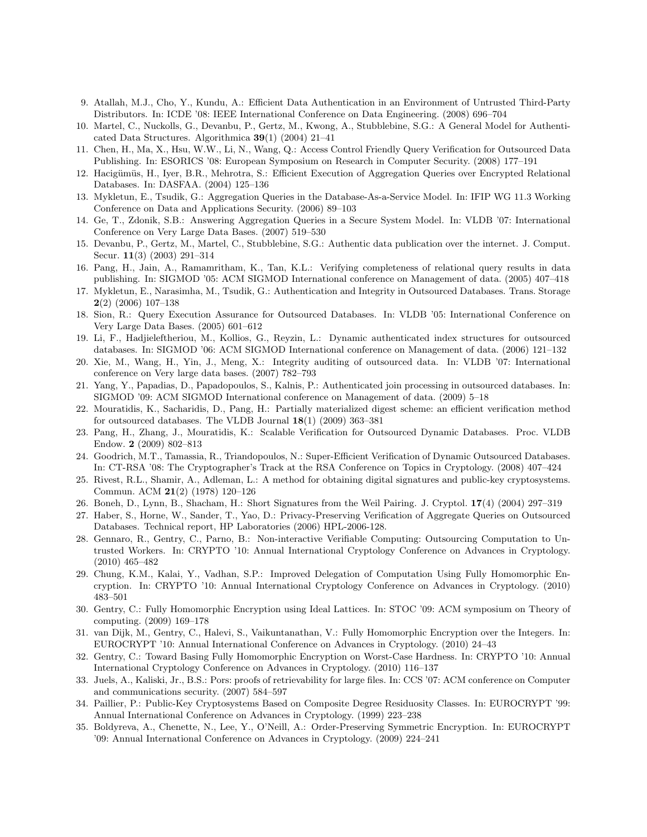- <span id="page-17-0"></span>9. Atallah, M.J., Cho, Y., Kundu, A.: Efficient Data Authentication in an Environment of Untrusted Third-Party Distributors. In: ICDE '08: IEEE International Conference on Data Engineering. (2008) 696–704
- <span id="page-17-1"></span>10. Martel, C., Nuckolls, G., Devanbu, P., Gertz, M., Kwong, A., Stubblebine, S.G.: A General Model for Authenticated Data Structures. Algorithmica 39(1) (2004) 21–41
- <span id="page-17-2"></span>11. Chen, H., Ma, X., Hsu, W.W., Li, N., Wang, Q.: Access Control Friendly Query Verification for Outsourced Data Publishing. In: ESORICS '08: European Symposium on Research in Computer Security. (2008) 177–191
- <span id="page-17-3"></span>12. Hacigümüs, H., Iyer, B.R., Mehrotra, S.: Efficient Execution of Aggregation Queries over Encrypted Relational Databases. In: DASFAA. (2004) 125–136
- <span id="page-17-4"></span>13. Mykletun, E., Tsudik, G.: Aggregation Queries in the Database-As-a-Service Model. In: IFIP WG 11.3 Working Conference on Data and Applications Security. (2006) 89–103
- <span id="page-17-5"></span>14. Ge, T., Zdonik, S.B.: Answering Aggregation Queries in a Secure System Model. In: VLDB '07: International Conference on Very Large Data Bases. (2007) 519–530
- <span id="page-17-6"></span>15. Devanbu, P., Gertz, M., Martel, C., Stubblebine, S.G.: Authentic data publication over the internet. J. Comput. Secur. 11(3) (2003) 291–314
- <span id="page-17-7"></span>16. Pang, H., Jain, A., Ramamritham, K., Tan, K.L.: Verifying completeness of relational query results in data publishing. In: SIGMOD '05: ACM SIGMOD International conference on Management of data. (2005) 407–418
- <span id="page-17-8"></span>17. Mykletun, E., Narasimha, M., Tsudik, G.: Authentication and Integrity in Outsourced Databases. Trans. Storage  $2(2)$  (2006) 107–138
- <span id="page-17-9"></span>18. Sion, R.: Query Execution Assurance for Outsourced Databases. In: VLDB '05: International Conference on Very Large Data Bases. (2005) 601–612
- <span id="page-17-10"></span>19. Li, F., Hadjieleftheriou, M., Kollios, G., Reyzin, L.: Dynamic authenticated index structures for outsourced databases. In: SIGMOD '06: ACM SIGMOD International conference on Management of data. (2006) 121–132
- <span id="page-17-11"></span>20. Xie, M., Wang, H., Yin, J., Meng, X.: Integrity auditing of outsourced data. In: VLDB '07: International conference on Very large data bases. (2007) 782–793
- <span id="page-17-12"></span>21. Yang, Y., Papadias, D., Papadopoulos, S., Kalnis, P.: Authenticated join processing in outsourced databases. In: SIGMOD '09: ACM SIGMOD International conference on Management of data. (2009) 5–18
- <span id="page-17-13"></span>22. Mouratidis, K., Sacharidis, D., Pang, H.: Partially materialized digest scheme: an efficient verification method for outsourced databases. The VLDB Journal 18(1) (2009) 363–381
- <span id="page-17-14"></span>23. Pang, H., Zhang, J., Mouratidis, K.: Scalable Verification for Outsourced Dynamic Databases. Proc. VLDB Endow. 2 (2009) 802–813
- <span id="page-17-15"></span>24. Goodrich, M.T., Tamassia, R., Triandopoulos, N.: Super-Efficient Verification of Dynamic Outsourced Databases. In: CT-RSA '08: The Cryptographer's Track at the RSA Conference on Topics in Cryptology. (2008) 407–424
- <span id="page-17-16"></span>25. Rivest, R.L., Shamir, A., Adleman, L.: A method for obtaining digital signatures and public-key cryptosystems. Commun. ACM 21(2) (1978) 120–126
- <span id="page-17-17"></span>26. Boneh, D., Lynn, B., Shacham, H.: Short Signatures from the Weil Pairing. J. Cryptol. 17(4) (2004) 297–319
- <span id="page-17-18"></span>27. Haber, S., Horne, W., Sander, T., Yao, D.: Privacy-Preserving Verification of Aggregate Queries on Outsourced Databases. Technical report, HP Laboratories (2006) HPL-2006-128.
- <span id="page-17-19"></span>28. Gennaro, R., Gentry, C., Parno, B.: Non-interactive Verifiable Computing: Outsourcing Computation to Untrusted Workers. In: CRYPTO '10: Annual International Cryptology Conference on Advances in Cryptology. (2010) 465–482
- <span id="page-17-20"></span>29. Chung, K.M., Kalai, Y., Vadhan, S.P.: Improved Delegation of Computation Using Fully Homomorphic Encryption. In: CRYPTO '10: Annual International Cryptology Conference on Advances in Cryptology. (2010) 483–501
- <span id="page-17-21"></span>30. Gentry, C.: Fully Homomorphic Encryption using Ideal Lattices. In: STOC '09: ACM symposium on Theory of computing. (2009) 169–178
- <span id="page-17-22"></span>31. van Dijk, M., Gentry, C., Halevi, S., Vaikuntanathan, V.: Fully Homomorphic Encryption over the Integers. In: EUROCRYPT '10: Annual International Conference on Advances in Cryptology. (2010) 24–43
- <span id="page-17-23"></span>32. Gentry, C.: Toward Basing Fully Homomorphic Encryption on Worst-Case Hardness. In: CRYPTO '10: Annual International Cryptology Conference on Advances in Cryptology. (2010) 116–137
- <span id="page-17-24"></span>33. Juels, A., Kaliski, Jr., B.S.: Pors: proofs of retrievability for large files. In: CCS '07: ACM conference on Computer and communications security. (2007) 584–597
- <span id="page-17-25"></span>34. Paillier, P.: Public-Key Cryptosystems Based on Composite Degree Residuosity Classes. In: EUROCRYPT '99: Annual International Conference on Advances in Cryptology. (1999) 223–238
- <span id="page-17-26"></span>35. Boldyreva, A., Chenette, N., Lee, Y., O'Neill, A.: Order-Preserving Symmetric Encryption. In: EUROCRYPT '09: Annual International Conference on Advances in Cryptology. (2009) 224–241